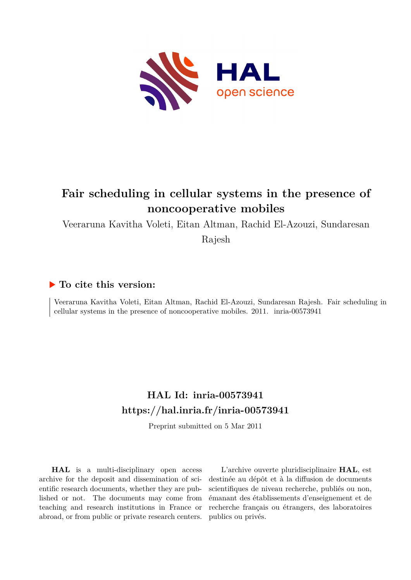

## **Fair scheduling in cellular systems in the presence of noncooperative mobiles**

Veeraruna Kavitha Voleti, Eitan Altman, Rachid El-Azouzi, Sundaresan

Rajesh

### **To cite this version:**

Veeraruna Kavitha Voleti, Eitan Altman, Rachid El-Azouzi, Sundaresan Rajesh. Fair scheduling in cellular systems in the presence of noncooperative mobiles.  $2011.$  inria- $00573941$ 

## **HAL Id: inria-00573941 <https://hal.inria.fr/inria-00573941>**

Preprint submitted on 5 Mar 2011

**HAL** is a multi-disciplinary open access archive for the deposit and dissemination of scientific research documents, whether they are published or not. The documents may come from teaching and research institutions in France or abroad, or from public or private research centers.

L'archive ouverte pluridisciplinaire **HAL**, est destinée au dépôt et à la diffusion de documents scientifiques de niveau recherche, publiés ou non, émanant des établissements d'enseignement et de recherche français ou étrangers, des laboratoires publics ou privés.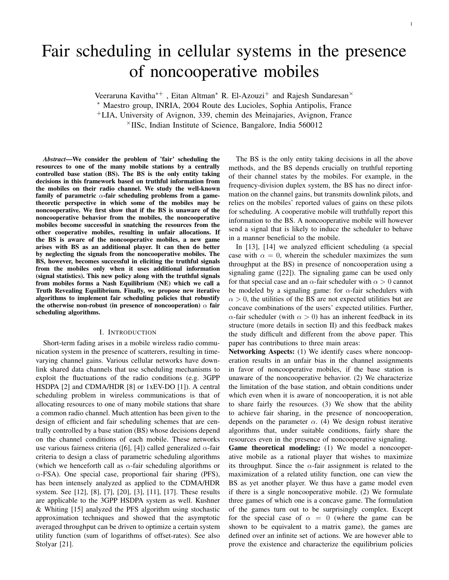# Fair scheduling in cellular systems in the presence of noncooperative mobiles

Veeraruna Kavitha<sup>\*+</sup>, Eitan Altman<sup>\*</sup> R. El-Azouzi<sup>+</sup> and Rajesh Sundaresan<sup>×</sup> <sup>∗</sup> Maestro group, INRIA, 2004 Route des Lucioles, Sophia Antipolis, France <sup>+</sup>LIA, University of Avignon, 339, chemin des Meinajaries, Avignon, France  $\times$ IISc, Indian Institute of Science, Bangalore, India 560012

*Abstract*—We consider the problem of 'fair' scheduling the resources to one of the many mobile stations by a centrally controlled base station (BS). The BS is the only entity taking decisions in this framework based on truthful information from the mobiles on their radio channel. We study the well-known family of parametric  $\alpha$ -fair scheduling problems from a gametheoretic perspective in which some of the mobiles may be noncooperative. We first show that if the BS is unaware of the noncooperative behavior from the mobiles, the noncooperative mobiles become successful in snatching the resources from the other cooperative mobiles, resulting in unfair allocations. If the BS is aware of the noncooperative mobiles, a new game arises with BS as an additional player. It can then do better by neglecting the signals from the noncooperative mobiles. The BS, however, becomes successful in eliciting the truthful signals from the mobiles only when it uses additional information (signal statistics). This new policy along with the truthful signals from mobiles forms a Nash Equilibrium (NE) which we call a Truth Revealing Equilibrium. Finally, we propose new iterative algorithms to implement fair scheduling policies that robustify the otherwise non-robust (in presence of noncooperation)  $\alpha$  fair scheduling algorithms.

#### I. INTRODUCTION

Short-term fading arises in a mobile wireless radio communication system in the presence of scatterers, resulting in timevarying channel gains. Various cellular networks have downlink shared data channels that use scheduling mechanisms to exploit the fluctuations of the radio conditions (e.g. 3GPP HSDPA [2] and CDMA/HDR [8] or 1xEV-DO [1]). A central scheduling problem in wireless communications is that of allocating resources to one of many mobile stations that share a common radio channel. Much attention has been given to the design of efficient and fair scheduling schemes that are centrally controlled by a base station (BS) whose decisions depend on the channel conditions of each mobile. These networks use various fairness criteria ([6], [4]) called generalized  $\alpha$ -fair criteria to design a class of parametric scheduling algorithms (which we henceforth call as  $\alpha$ -fair scheduling algorithms or  $\alpha$ -FSA). One special case, proportional fair sharing (PFS), has been intensely analyzed as applied to the CDMA/HDR system. See [12], [8], [7], [20], [3], [11], [17]. These results are applicable to the 3GPP HSDPA system as well. Kushner & Whiting [15] analyzed the PFS algorithm using stochastic approximation techniques and showed that the asymptotic averaged throughput can be driven to optimize a certain system utility function (sum of logarithms of offset-rates). See also Stolyar [21].

The BS is the only entity taking decisions in all the above methods, and the BS depends crucially on truthful reporting of their channel states by the mobiles. For example, in the frequency-division duplex system, the BS has no direct information on the channel gains, but transmits downlink pilots, and relies on the mobiles' reported values of gains on these pilots for scheduling. A cooperative mobile will truthfully report this information to the BS. A noncooperative mobile will however send a signal that is likely to induce the scheduler to behave in a manner beneficial to the mobile.

In [13], [14] we analyzed efficient scheduling (a special case with  $\alpha = 0$ , wherein the scheduler maximizes the sum throughput at the BS) in presence of noncooperation using a signaling game ([22]). The signaling game can be used only for that special case and an  $\alpha$ -fair scheduler with  $\alpha > 0$  cannot be modeled by a signaling game: for  $\alpha$ -fair schedulers with  $\alpha > 0$ , the utilities of the BS are not expected utilities but are concave combinations of the users' expected utilities. Further,  $\alpha$ -fair scheduler (with  $\alpha > 0$ ) has an inherent feedback in its structure (more details in section II) and this feedback makes the study difficult and different from the above paper. This paper has contributions to three main areas:

Networking Aspects: (1) We identify cases where noncooperation results in an unfair bias in the channel assignments in favor of noncooperative mobiles, if the base station is unaware of the noncooperative behavior. (2) We characterize the limitation of the base station, and obtain conditions under which even when it is aware of noncooperation, it is not able to share fairly the resources. (3) We show that the ability to achieve fair sharing, in the presence of noncooperation, depends on the parameter  $\alpha$ . (4) We design robust iterative algorithms that, under suitable conditions, fairly share the resources even in the presence of noncooperative signaling.

Game theoretical modeling: (1) We model a noncooperative mobile as a rational player that wishes to maximize its throughput. Since the  $\alpha$ -fair assignment is related to the maximization of a related utility function, one can view the BS as yet another player. We thus have a game model even if there is a single noncooperative mobile. (2) We formulate three games of which one is a concave game. The formulation of the games turn out to be surprisingly complex. Except for the special case of  $\alpha = 0$  (where the game can be shown to be equivalent to a matrix game), the games are defined over an infinite set of actions. We are however able to prove the existence and characterize the equilibrium policies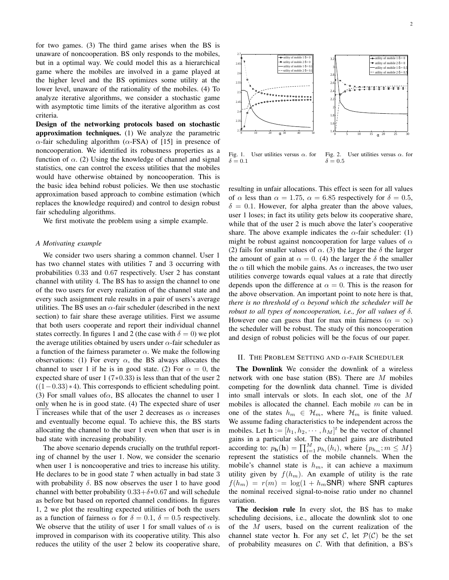for two games. (3) The third game arises when the BS is unaware of noncooperation. BS only responds to the mobiles, but in a optimal way. We could model this as a hierarchical game where the mobiles are involved in a game played at the higher level and the BS optimizes some utility at the lower level, unaware of the rationality of the mobiles. (4) To analyze iterative algorithms, we consider a stochastic game with asymptotic time limits of the iterative algorithm as cost criteria.

Design of the networking protocols based on stochastic approximation techniques. (1) We analyze the parametric α-fair scheduling algorithm ( $α$ -FSA) of [15] in presence of noncooperation. We identified its robustness properties as a function of  $\alpha$ . (2) Using the knowledge of channel and signal statistics, one can control the excess utilities that the mobiles would have otherwise obtained by noncooperation. This is the basic idea behind robust policies. We then use stochastic approximation based approach to combine estimation (which replaces the knowledge required) and control to design robust fair scheduling algorithms.

We first motivate the problem using a simple example.

#### *A Motivating example*

We consider two users sharing a common channel. User 1 has two channel states with utilities 7 and 3 occurring with probabilities 0.33 and 0.67 respectively. User 2 has constant channel with utility 4. The BS has to assign the channel to one of the two users for every realization of the channel state and every such assignment rule results in a pair of users's average utilities. The BS uses an  $\alpha$ -fair scheduler (described in the next section) to fair share these average utilities. First we assume that both users cooperate and report their individual channel states correctly. In figures 1 and 2 (the case with  $\delta = 0$ ) we plot the average utilities obtained by users under  $\alpha$ -fair scheduler as a function of the fairness parameter  $\alpha$ . We make the following observations: (1) For every  $\alpha$ , the BS always allocates the channel to user 1 if he is in good state. (2) For  $\alpha = 0$ , the expected share of user 1 (7∗0.33) is less than that of the user 2  $((1-0.33)*4)$ . This corresponds to efficient scheduling point. (3) For small values of $\alpha$ , BS allocates the channel to user 1 only when he is in good state. (4) The expected share of user 1 increases while that of the user 2 decreases as  $\alpha$  increases and eventually become equal. To achieve this, the BS starts allocating the channel to the user 1 even when that user is in bad state with increasing probability.

The above scenario depends crucially on the truthful reporting of channel by the user 1. Now, we consider the scenario when user 1 is noncooperative and tries to increase his utility. He declares to be in good state 7 when actually in bad state 3 with probability  $\delta$ . BS now observes the user 1 to have good channel with better probability  $0.33+\delta*0.67$  and will schedule as before but based on reported channel conditions. In figures 1, 2 we plot the resulting expected utilities of both the users as a function of fairness  $\alpha$  for  $\delta = 0.1$ ,  $\delta = 0.5$  respectively. We observe that the utility of user 1 for small values of  $\alpha$  is improved in comparison with its cooperative utility. This also reduces the utility of the user 2 below its cooperative share,



Fig. 1. User utilities versus  $\alpha$ . for  $\delta = 0.1$ Fig. 2. User utilities versus  $\alpha$ . for  $\delta = 0.5$ 

resulting in unfair allocations. This effect is seen for all values of  $\alpha$  less than  $\alpha = 1.75$ ,  $\alpha = 6.85$  respectively for  $\delta = 0.5$ ,  $\delta = 0.1$ . However, for alpha greater than the above values, user 1 loses; in fact its utility gets below its cooperative share, while that of the user 2 is much above the later's cooperative share. The above example indicates the  $\alpha$ -fair scheduler: (1) might be robust against noncooperation for large values of  $\alpha$ (2) fails for smaller values of  $\alpha$ . (3) the larger the  $\delta$  the larger the amount of gain at  $\alpha = 0$ . (4) the larger the  $\delta$  the smaller the  $\alpha$  till which the mobile gains. As  $\alpha$  increases, the two user utilities converge towards equal values at a rate that directly depends upon the difference at  $\alpha = 0$ . This is the reason for the above observation. An important point to note here is that, *there is no threshold of* α *beyond which the scheduler will be robust to all types of noncooperation, i.e., for all values of* δ*.* However one can guess that for max min fairness ( $\alpha = \infty$ ) the scheduler will be robust. The study of this noncooperation and design of robust policies will be the focus of our paper.

#### II. THE PROBLEM SETTING AND  $\alpha$ -FAIR SCHEDULER

The Downlink We consider the downlink of a wireless network with one base station (BS). There are M mobiles competing for the downlink data channel. Time is divided into small intervals or slots. In each slot, one of the M mobiles is allocated the channel. Each mobile  $m$  can be in one of the states  $h_m \in \mathcal{H}_m$ , where  $\mathcal{H}_m$  is finite valued. We assume fading characteristics to be independent across the mobiles. Let  $\mathbf{h} := [h_1, h_2, \dots, h_M]^t$  be the vector of channel gains in a particular slot. The channel gains are distributed according to:  $p_{\mathbf{h}}(\mathbf{h}) = \prod_{i=1}^{M} p_{h_i}(h_i)$ , where  $\{p_{h_m}; m \leq M\}$ represent the statistics of the mobile channels. When the mobile's channel state is  $h_m$ , it can achieve a maximum utility given by  $f(h_m)$ . An example of utility is the rate  $f(h_m) = r(m) = \log(1 + h_m \text{SNR})$  where SNR captures the nominal received signal-to-noise ratio under no channel variation.

The decision rule In every slot, the BS has to make scheduling decisions, i.e., allocate the downlink slot to one of the M users, based on the current realization of the channel state vector h. For any set C, let  $\mathcal{P}(\mathcal{C})$  be the set of probability measures on  $C$ . With that definition, a BS's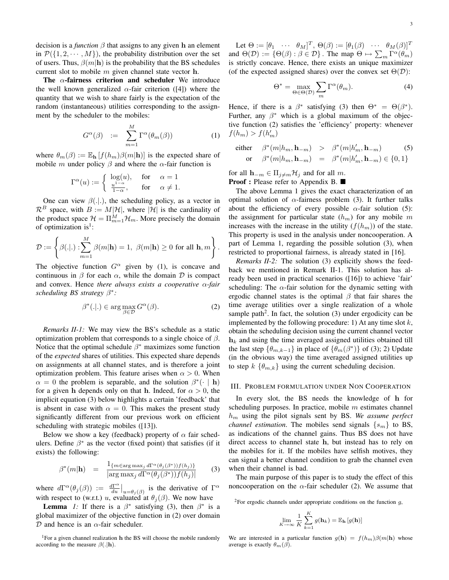decision is a *function*  $\beta$  that assigns to any given h an element in  $\mathcal{P}(\{1, 2, \dots, M\})$ , the probability distribution over the set of users. Thus,  $\beta(m|h)$  is the probability that the BS schedules current slot to mobile  $m$  given channel state vector  $h$ .

The  $\alpha$ -fairness criterion and scheduler We introduce the well known generalized  $\alpha$ -fair criterion ([4]) where the quantity that we wish to share fairly is the expectation of the random (instantaneous) utilities corresponding to the assignment by the scheduler to the mobiles:

$$
G^{\alpha}(\beta) := \sum_{m=1}^{M} \Gamma^{\alpha}(\theta_m(\beta)) \tag{1}
$$

where  $\theta_m(\beta) := \mathbb{E}_{\mathbf{h}}[f(h_m)\beta(m|\mathbf{h})]$  is the expected share of mobile m under policy  $\beta$  and where the  $\alpha$ -fair function is

$$
\Gamma^{\alpha}(u) := \begin{cases} \log(u), & \text{for } \alpha = 1\\ \frac{u^{1-\alpha}}{1-\alpha}, & \text{for } \alpha \neq 1. \end{cases}
$$

One can view  $\beta(.).$ , the scheduling policy, as a vector in  $\mathcal{R}^B$  space, with  $B := M|\mathcal{H}|$ , where  $|\mathcal{H}|$  is the cardinality of the product space  $\mathcal{H} = \prod_{m=1}^{M} \mathcal{H}_m$ . More precisely the domain of optimization is<sup>1</sup>:

$$
\mathcal{D} := \left\{ \beta(.|.) : \sum_{m=1}^{M} \beta(m|\mathbf{h}) = 1, \ \beta(m|\mathbf{h}) \ge 0 \text{ for all } \mathbf{h}, m \right\}.
$$

The objective function  $G^{\alpha}$  given by (1), is concave and continuous in  $\beta$  for each  $\alpha$ , while the domain  $\mathcal D$  is compact and convex. Hence *there always exists a cooperative* α*-fair scheduling BS strategy* β ∗ *:*

$$
\beta^*(.|.) \in \arg\max_{\beta \in \mathcal{D}} G^{\alpha}(\beta). \tag{2}
$$

*Remarks II-1:* We may view the BS's schedule as a static optimization problem that corresponds to a single choice of  $\beta$ . Notice that the optimal schedule  $\beta^*$  maximizes some function of the *expected* shares of utilities. This expected share depends on assignments at all channel states, and is therefore a joint optimization problem. This feature arises when  $\alpha > 0$ . When  $\alpha = 0$  the problem is separable, and the solution  $\beta^* (\cdot | \mathbf{h})$ for a given h depends only on that h. Indeed, for  $\alpha > 0$ , the implicit equation (3) below highlights a certain 'feedback' that is absent in case with  $\alpha = 0$ . This makes the present study significantly different from our previous work on efficient scheduling with strategic mobiles ([13]).

Below we show a key (feedback) property of  $\alpha$  fair schedulers. Define  $\beta^*$  as the vector (fixed point) that satisfies (if it exists) the following:

$$
\beta^*(m|\mathbf{h}) = \frac{1_{\{m \in \arg\max_j d\Gamma^{\alpha}(\theta_j(\beta^*)) f(h_j)\}}}{|\arg\max_j d\Gamma^{\alpha}(\theta_j(\beta^*)) f(h_j)|} \qquad (3)
$$

where  $d\Gamma^{\alpha}(\theta_j(\beta)) := \frac{d\Gamma^{\alpha}}{du}$  $\frac{d\Gamma^{\alpha}}{du}\Big|_{u=\theta_j(\beta)}$  is the derivative of  $\Gamma^{\alpha}$ with respect to (w.r.t.) u, evaluated at  $\theta_j(\beta)$ . We now have

**Lemma** *1*: If there is a  $\beta^*$  satisfying (3), then  $\beta^*$  is a global maximizer of the objective function in (2) over domain  $D$  and hence is an  $\alpha$ -fair scheduler.

Let  $\Theta := [\theta_1 \quad \cdots \quad \theta_M]^T$ ,  $\Theta(\beta) := [\theta_1(\beta) \quad \cdots \quad \theta_M(\beta)]^T$ and  $\Theta(\mathcal{D}) := \{\Theta(\beta) : \beta \in \mathcal{D}\}\.$  The map  $\Theta \mapsto \sum_m \Gamma^{\alpha}(\theta_m)$ is strictly concave. Hence, there exists an unique maximizer (of the expected assigned shares) over the convex set  $\Theta(\mathcal{D})$ :

$$
\Theta^* = \max_{\Theta \in \Theta(\mathcal{D})} \sum_m \Gamma^{\alpha}(\theta_m). \tag{4}
$$

Hence, if there is a  $\beta^*$  satisfying (3) then  $\Theta^* = \Theta(\beta^*)$ . Further, any  $\beta^*$  which is a global maximum of the objective function (2) satisfies the 'efficiency' property: whenever  $f(h_m) > f(h'_m)$ 

either 
$$
\beta^*(m|h_m, \mathbf{h}_{-m}) > \beta^*(m|h'_m, \mathbf{h}_{-m})
$$
 (5)  
or  $\beta^*(m|h_m, \mathbf{h}_{-m}) = \beta^*(m|h'_m, \mathbf{h}_{-m}) \in \{0, 1\}$ 

for all  $\mathbf{h}_{-m} \in \Pi_{j \neq m} \mathcal{H}_j$  and for all m. Proof : Please refer to Appendix B. ■

The above Lemma 1 gives the exact characterization of an optimal solution of  $\alpha$ -fairness problem (3). It further talks about the efficiency of every possible  $\alpha$ -fair solution (5): the assignment for particular state  $(h_m)$  for any mobile m increases with the increase in the utility  $(f(h_m))$  of the state. This property is used in the analysis under noncooperation. A part of Lemma 1, regarding the possible solution (3), when restricted to proportional fairness, is already stated in [16].

*Remarks II-2:* The solution (3) explicitly shows the feedback we mentioned in Remark II-1. This solution has already been used in practical scenarios ([16]) to achieve 'fair' scheduling: The  $\alpha$ -fair solution for the dynamic setting with ergodic channel states is the optimal  $\beta$  that fair shares the time average utilities over a single realization of a whole sample path<sup>2</sup>. In fact, the solution  $(3)$  under ergodicity can be implemented by the following procedure: 1) At any time slot  $k$ , obtain the scheduling decision using the current channel vector  $h_k$  and using the time averaged assigned utilities obtained till the last step  $\{\theta_{m,k-1}\}\$  in place of  $\{\theta_m(\beta^*)\}$  of (3); 2) Update (in the obvious way) the time averaged assigned utilities up to step  $k \{\theta_{m,k}\}\$ using the current scheduling decision.

#### III. PROBLEM FORMULATION UNDER NON COOPERATION

In every slot, the BS needs the knowledge of h for scheduling purposes. In practice, mobile  $m$  estimates channel  $h_m$  using the pilot signals sent by BS. We assume perfect *channel estimation*. The mobiles send signals  $\{s_m\}$  to BS, as indications of the channel gains. Thus BS does not have direct access to channel state h, but instead has to rely on the mobiles for it. If the mobiles have selfish motives, they can signal a better channel condition to grab the channel even when their channel is bad.

The main purpose of this paper is to study the effect of this noncooperation on the  $\alpha$ -fair scheduler (2). We assume that

<sup>2</sup>For ergodic channels under appropriate conditions on the function  $g$ ,

$$
\lim_{K \to \infty} \frac{1}{K} \sum_{k=1}^{K} g(\mathbf{h}_k) = \mathbb{E}_{\mathbf{h}} \left[ g(\mathbf{h}) \right]
$$

We are interested in a particular function  $g(\mathbf{h}) = f(h_m)\beta(m|\mathbf{h})$  whose average is exactly  $\theta_m(\beta)$ .

<sup>&</sup>lt;sup>1</sup> For a given channel realization **h** the BS will choose the mobile randomly according to the measure  $\beta(.|\mathbf{h})$ .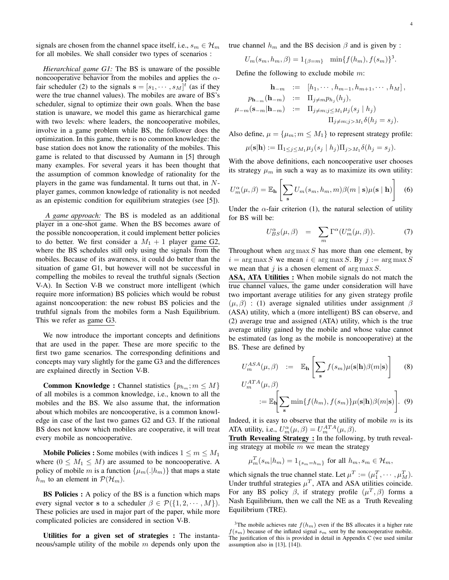signals are chosen from the channel space itself, i.e.,  $s_m \in \mathcal{H}_m$ for all mobiles. We shall consider two types of scenarios :

*Hierarchical game G1:* The BS is unaware of the possible noncooperative behavior from the mobiles and applies the  $\alpha$ fair scheduler (2) to the signals  $\mathbf{s} = [s_1, \dots, s_M]^t$  (as if they were the true channel values). The mobiles are aware of BS's scheduler, signal to optimize their own goals. When the base station is unaware, we model this game as hierarchical game with two levels: where leaders, the noncooperative mobiles, involve in a game problem while BS, the follower does the optimization. In this game, there is no common knowledge: the base station does not know the rationality of the mobiles. This game is related to that discussed by Aumann in [5] through many examples. For several years it has been thought that the assumption of common knowledge of rationality for the players in the game was fundamental. It turns out that, in  $N$ player games, common knowledge of rationality is not needed as an epistemic condition for equilibrium strategies (see [5]).

*A game approach:* The BS is modeled as an additional player in a one-shot game. When the BS becomes aware of the possible noncooperation, it could implement better policies to do better. We first consider a  $M_1 + 1$  player game G2, where the BS schedules still only using the signals from the mobiles. Because of its awareness, it could do better than the situation of game G1, but however will not be successful in compelling the mobiles to reveal the truthful signals (Section V-A). In Section V-B we construct more intelligent (which require more information) BS policies which would be robust against noncooperation: the new robust BS policies and the truthful signals from the mobiles form a Nash Equilibrium. This we refer as game G3.

We now introduce the important concepts and definitions that are used in the paper. These are more specific to the first two game scenarios. The corresponding definitions and concepts may vary slightly for the game G3 and the differences are explained directly in Section V-B.

**Common Knowledge :** Channel statistics  $\{p_{h_m}; m \leq M\}$ of all mobiles is a common knowledge, i.e., known to all the mobiles and the BS. We also assume that, the information about which mobiles are noncooperative, is a common knowledge in case of the last two games G2 and G3. If the rational BS does not know which mobiles are cooperative, it will treat every mobile as noncooperative.

**Mobile Policies :** Some mobiles (with indices  $1 \le m \le M_1$ where  $(0 \leq M_1 \leq M)$  are assumed to be noncooperative. A policy of mobile m is a function  $\{\mu_m(.|h_m)\}\$  that maps a state  $h_m$  to an element in  $P(\mathcal{H}_m)$ .

BS Policies : A policy of the BS is a function which maps every signal vector s to a scheduler  $\beta \in \mathcal{P}(\{1, 2, \dots, M\})$ . These policies are used in major part of the paper, while more complicated policies are considered in section V-B.

Utilities for a given set of strategies : The instantaneous/sample utility of the mobile  $m$  depends only upon the true channel  $h_m$  and the BS decision  $\beta$  and is given by :

 $U_m(s_m, h_m, \beta) = 1_{\{\beta = m\}} \min\{f(h_m), f(s_m)\}^3.$ 

Define the following to exclude mobile  $m$ :

$$
\mathbf{h}_{-m} := [h_1, \cdots, h_{m-1}, h_{m+1}, \cdots, h_M],
$$
  
\n
$$
p_{\mathbf{h}_{-m}}(\mathbf{h}_{-m}) := \Pi_{j \neq m} p_{h_j}(h_j),
$$
  
\n
$$
\mu_{-m}(\mathbf{s}_{-m}|\mathbf{h}_{-m}) := \Pi_{j \neq m; j \le M_1} \mu_j(s_j | h_j)
$$
  
\n
$$
\Pi_{j \neq m; j > M_1} \delta(h_j = s_j).
$$

Also define,  $\mu = {\mu_m; m \le M_1}$  to represent strategy profile:

$$
\mu(\mathbf{s}|\mathbf{h}) := \Pi_{1 \leq j \leq M_1} \mu_j(s_j \mid h_j) \Pi_{j>M_1} \delta(h_j = s_j).
$$

With the above definitions, each noncooperative user chooses its strategy  $\mu_m$  in such a way as to maximize its own utility:

$$
U_m^{\alpha}(\mu, \beta) = \mathbb{E}_{\mathbf{h}} \left[ \sum_{\mathbf{s}} U_m(s_m, h_m, m) \beta(m \mid \mathbf{s}) \mu(\mathbf{s} \mid \mathbf{h}) \right] \quad (6)
$$

Under the  $\alpha$ -fair criterion (1), the natural selection of utility for BS will be:

$$
U_{BS}^{\alpha}(\mu,\beta) = \sum_{m} \Gamma^{\alpha}(U_{m}^{\alpha}(\mu,\beta)). \tag{7}
$$

Throughout when  $\arg \max S$  has more than one element, by  $i = \arg \max S$  we mean  $i \in \arg \max S$ . By  $j := \arg \max S$ we mean that j is a chosen element of  $\arg \max S$ .

ASA, ATA Utilities : When mobile signals do not match the true channel values, the game under consideration will have two important average utilities for any given strategy profile  $(\mu, \beta)$  : (1) average signaled utilities under assignment  $\beta$ (ASA) utility, which a (more intelligent) BS can observe, and (2) average true and assigned (ATA) utility, which is the true average utility gained by the mobile and whose value cannot be estimated (as long as the mobile is noncooperative) at the BS. These are defined by

$$
U_m^{ASA}(\mu, \beta) := \mathbb{E}_{\mathbf{h}} \left[ \sum_{\mathbf{s}} f(s_m) \mu(\mathbf{s}|\mathbf{h}) \beta(m|\mathbf{s}) \right]
$$
(8)

$$
U_m^{ATA}(\mu, \beta)
$$
  
 :=  $\mathbb{E}_{\mathbf{h}} \Bigg[ \sum_{\mathbf{s}} \min\{f(h_m), f(s_m)\} \mu(\mathbf{s}|\mathbf{h}) \beta(m|\mathbf{s}) \Bigg].$  (9)

Indeed, it is easy to observe that the utility of mobile  $m$  is its ATA utility, i.e.,  $U_m^{\alpha}(\mu, \beta) = U_m^{ATA}(\mu, \beta)$ .

Truth Revealing Strategy : In the following, by truth revealing strategy at mobile  $m$  we mean the strategy

$$
\mu_m^T(s_m|h_m) = 1_{\{s_m = h_m\}} \text{ for all } h_m, s_m \in \mathcal{H}_m,
$$

which signals the true channel state. Let  $\mu^T := (\mu_1^T, \dots, \mu_M^T)$ . Under truthful strategies  $\mu^T$ , ATA and ASA utilities coincide. For any BS policy  $\beta$ , if strategy profile  $(\mu^T, \beta)$  forms a Nash Equilibrium, then we call the NE as a Truth Revealing Equilibrium (TRE).

<sup>&</sup>lt;sup>3</sup>The mobile achieves rate  $f(h_m)$  even if the BS allocates it a higher rate  $f(s_m)$  because of the inflated signal  $s_m$  sent by the noncooperative mobile. The justification of this is provided in detail in Appendix C (we used similar assumption also in [13], [14]).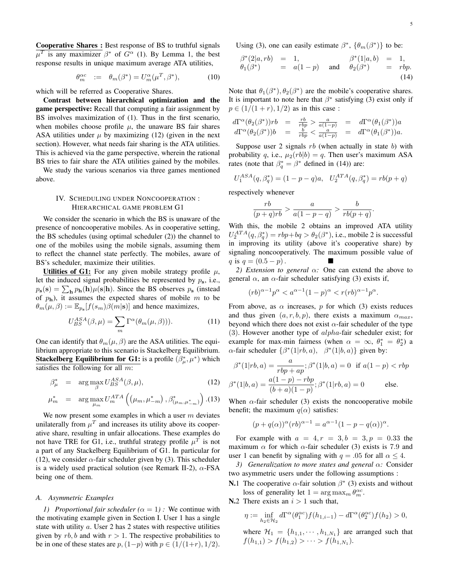Cooperative Shares : Best response of BS to truthful signals  $\mu^T$  is any maximizer  $\beta^*$  of  $G^{\alpha}$  (1). By Lemma 1, the best response results in unique maximum average ATA utilities,

$$
\theta_m^{\alpha c} := \theta_m(\beta^*) = U_m^{\alpha}(\mu^T, \beta^*), \tag{10}
$$

which will be referred as Cooperative Shares.

Contrast between hierarchical optimization and the game perspective: Recall that computing a fair assignment by BS involves maximization of (1). Thus in the first scenario, when mobiles choose profile  $\mu$ , the unaware BS fair shares ASA utilities under  $\mu$  by maximizing (12) (given in the next section). However, what needs fair sharing is the ATA utilities. This is achieved via the game perspective, wherein the rational BS tries to fair share the ATA utilities gained by the mobiles.

We study the various scenarios via three games mentioned above.

#### IV. SCHEDULING UNDER NONCOOPERATION : HIERARCHICAL GAME PROBLEM G1

We consider the scenario in which the BS is unaware of the presence of noncooperative mobiles. As in cooperative setting, the BS schedules (using optimal scheduler (2)) the channel to one of the mobiles using the mobile signals, assuming them to reflect the channel state perfectly. The mobiles, aware of BS's scheduler, maximize their utilities.

Utilities of G1: For any given mobile strategy profile  $\mu$ , let the induced signal probabilities be represented by  $p_s$ , i.e.,  $p_s(s) = \sum_{h} p_h(h) \mu(s|h)$ . Since the BS observes  $p_s$  (instead of  $p_h$ ), it assumes the expected shares of mobile m to be  $\theta_m(\mu, \beta) := \mathbb{E}_{p_{\mathbf{s}}}[f(s_m)\beta(m|\mathbf{s})]$  and hence maximizes,

$$
U_{BS}^{ASA}(\beta,\mu) = \sum_{m} \Gamma^{\alpha}(\theta_m(\mu,\beta))). \tag{11}
$$

One can identify that  $\theta_m(\mu, \beta)$  are the ASA utilities. The equilibrium appropriate to this scenario is Stackelberg Equilibrium. **Stackelberg Equilibrium for G1:** is a profile  $(\beta_{\mu}^*, \mu^*)$  which satisfies the following for all  $m$ :

$$
\beta_{\mu}^* = \arg \max_{\beta} U_{BS}^{ASA}(\beta, \mu), \tag{12}
$$

$$
\mu_m^* = \arg \max_{\mu_m} U_m^{ATA} \left( \left( \mu_m, \mu_{-m}^* \right), \beta^*_{\left( \mu_m, \mu_{-m}^* \right)} \right). (13)
$$

We now present some examples in which a user  $m$  deviates unilaterally from  $\mu^T$  and increases its utility above its cooperative share, resulting in unfair allocations. These examples do not have TRE for G1, i.e., truthful strategy profile  $\mu^T$  is not a part of any Stackelberg Equilibrium of G1. In particular for (12), we consider  $\alpha$ -fair scheduler given by (3). This scheduler is a widely used practical solution (see Remark II-2),  $\alpha$ -FSA being one of them.

#### *A. Asymmetric Examples*

*1) Proportional fair scheduler*  $(\alpha = 1)$ : We continue with the motivating example given in Section I. User 1 has a single state with utility a. User 2 has 2 states with respective utilities given by  $rb$ , b and with  $r > 1$ . The respective probabilities to be in one of these states are  $p,(1-p)$  with  $p \in (1/(1+r), 1/2)$ . Using (3), one can easily estimate  $\beta^*$ ,  $\{\theta_m(\beta^*)\}$  to be:

$$
\begin{array}{rcl}\n\beta^*(2|a, rb) & = & 1, \\
\theta_1(\beta^*) & = & a(1-p) \quad \text{and} \quad \theta_2(\beta^*) & = & rbp. \\
\text{(14)}\n\end{array}
$$

Note that  $\theta_1(\beta^*), \theta_2(\beta^*)$  are the mobile's cooperative shares. It is important to note here that  $\beta^*$  satisfying (3) exist only if  $p \in (1/(1+r), 1/2)$  as in this case :

$$
d\Gamma^{\alpha}(\theta_2(\beta^*))rb = \frac{rb}{rbp} > \frac{a}{a(1-p)} = d\Gamma^{\alpha}(\theta_1(\beta^*))a
$$
  

$$
d\Gamma^{\alpha}(\theta_2(\beta^*))b = \frac{b}{rbp} < \frac{a}{a(1-p)} = d\Gamma^{\alpha}(\theta_1(\beta^*))a.
$$

Suppose user 2 signals  $rb$  (when actually in state b) with probability q, i.e.,  $\mu_2(rb|b) = q$ . Then user's maximum ASA rates (note that  $\beta_q^* = \beta^*$  defined in (14)) are:

$$
U_1^{ASA}(q, \beta_q^*) = (1 - p - q)a, \quad U_2^{ATA}(q, \beta_q^*) = rb(p + q)
$$

respectively whenever

$$
\frac{rb}{(p+q)rb} > \frac{a}{a(1-p-q)} > \frac{b}{rb(p+q)}.
$$

With this, the mobile 2 obtains an improved ATA utility  $U_2^{ATA}(q, \beta_q^*) = rbp + bq > \theta_2(\beta^*)$ , i.e., mobile 2 is successful in improving its utility (above it's cooperative share) by signaling noncooperatively. The maximum possible value of q is  $q = (0.5 - p)$ .

*2) Extension to general* α*:* One can extend the above to general  $\alpha$ , an  $\alpha$ -fair scheduler satisfying (3) exists if,

$$
(rb)^{\alpha-1}p^{\alpha} < a^{\alpha-1}(1-p)^{\alpha} < r (rb)^{\alpha-1}p^{\alpha}.
$$

From above, as  $\alpha$  increases, p for which (3) exists reduces and thus given  $(a, r, b, p)$ , there exists a maximum  $\alpha_{max}$ , beyond which there does not exist  $\alpha$ -fair scheduler of the type  $(3)$ . However another type of  $alpha$ -fair scheduler exist; for example for max-min fairness (when  $\alpha = \infty$ ,  $\theta_1^* = \theta_2^*$ ) a  $\alpha$ -fair scheduler  $\{\beta^*(1|rb, a), \ \beta^*(1|b, a)\}\$ given by:

$$
\beta^*(1|rb, a) = \frac{a}{rbp + ap}; \beta^*(1|b, a) = 0 \text{ if } a(1-p) < rbp
$$

$$
\beta^*(1|b, a) = \frac{a(1-p) - rbp}{(b+a)(1-p)}; \beta^*(1|rb, a) = 0 \text{ else.}
$$

When  $\alpha$ -fair scheduler (3) exists the noncooperative mobile benefit; the maximum  $q(\alpha)$  satisfies:

$$
(p+q(\alpha))^{\alpha}(rb)^{\alpha-1} = a^{\alpha-1}(1-p-q(\alpha))^{\alpha}.
$$

For example with  $a = 4, r = 3, b = 3, p = 0.33$  the maximum  $\alpha$  for which  $\alpha$ -fair scheduler (3) exists is 7.9 and user 1 can benefit by signaling with  $q = .05$  for all  $\alpha \leq 4$ .

*3) Generalization to more states and general* α*:* Consider two asymmetric users under the following assumptions :

- **N.**1 The cooperative  $\alpha$ -fair solution  $\beta^*$  (3) exists and without loss of generality let  $1 = \arg \max_{m} \theta_m^{\alpha c}$ .
- N.2 There exists an  $i > 1$  such that,

$$
\eta := \inf_{h_2 \in \mathcal{H}_2} d\Gamma^{\alpha}(\theta_1^{\alpha c}) f(h_{1,i-1}) - d\Gamma^{\alpha}(\theta_2^{\alpha c}) f(h_2) > 0,
$$

where  $\mathcal{H}_1 = \{h_{1,1}, \dots, h_{1,N_1}\}\$  are arranged such that  $f(h_{1,1}) > f(h_{1,2}) > \cdots > f(h_{1,N_1}).$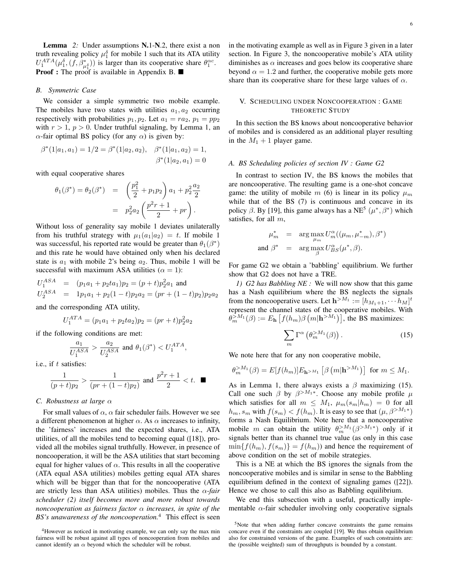**Lemma** 2: Under assumptions **N.1-N.2**, there exist a non truth revealing policy  $\mu_1^{\delta}$  for mobile 1 such that its ATA utility  $U_1^{ATA}(\mu_1^{\delta}, (f, \beta_{\mu_1^{\delta}}^*))$  is larger than its cooperative share  $\theta_1^{\alpha c}$ . **Proof :** The proof is available in Appendix B.

#### *B. Symmetric Case*

We consider a simple symmetric two mobile example. The mobiles have two states with utilities  $a_1, a_2$  occurring respectively with probabilities  $p_1, p_2$ . Let  $a_1 = ra_2, p_1 = pp_2$ with  $r > 1$ ,  $p > 0$ . Under truthful signaling, by Lemma 1, an  $\alpha$ -fair optimal BS policy (for any  $\alpha$ ) is given by:

$$
\beta^*(1|a_1, a_1) = 1/2 = \beta^*(1|a_2, a_2), \quad \beta^*(1|a_1, a_2) = 1, \beta^*(1|a_2, a_1) = 0
$$

with equal cooperative shares

$$
\theta_1(\beta^*) = \theta_2(\beta^*) = \left(\frac{p_1^2}{2} + p_1 p_2\right) a_1 + p_2^2 \frac{a_2}{2}
$$

$$
= p_2^2 a_2 \left(\frac{p^2 r + 1}{2} + pr\right).
$$

Without loss of generality say mobile 1 deviates unilaterally from his truthful strategy with  $\mu_1(a_1|a_2) = t$ . If mobile 1 was successful, his reported rate would be greater than  $\theta_1(\beta^*)$ and this rate he would have obtained only when his declared state is  $a_1$  with mobile 2's being  $a_2$ . Thus, mobile 1 will be successful with maximum ASA utilities ( $\alpha = 1$ ):

$$
U_1^{ASA} = (p_1a_1 + p_2ta_1)p_2 = (p+t)p_2^2a_1
$$
 and  

$$
U_2^{ASA} = 1p_1a_1 + p_2(1-t)p_2a_2 = (pr + (1-t)p_2)p_2a_2
$$

and the corresponding ATA utility,

$$
U_1^{ATA} = (p_1a_1 + p_2ta_2)p_2 = (pr + t)p_2^2a_2
$$

if the following conditions are met:

$$
\frac{a_1}{U_1^{ASA}} > \frac{a_2}{U_2^{ASA}} \text{ and } \theta_1(\beta^*) < U_1^{ATA},
$$

i.e., if t satisfies:

$$
\frac{1}{(p+t)p_2} > \frac{1}{(pr+(1-t)p_2)} \text{ and } \frac{p^2r+1}{2} < t. \quad \blacksquare
$$

#### *C. Robustness at large* α

For small values of  $\alpha$ ,  $\alpha$  fair scheduler fails. However we see a different phenomenon at higher  $\alpha$ . As  $\alpha$  increases to infinity, the 'fairness' increases and the expected shares, i.e., ATA utilities, of all the mobiles tend to becoming equal ([18]), provided all the mobiles signal truthfully. However, in presence of noncooperation, it will be the ASA utilities that start becoming equal for higher values of  $\alpha$ . This results in all the cooperative (ATA equal ASA utilities) mobiles getting equal ATA shares which will be bigger than that for the noncooperative (ATA are strictly less than ASA utilities) mobiles. Thus the  $\alpha$ -fair *scheduler (2) itself becomes more and more robust towards noncooperation as fairness factor* α *increases, in spite of the BS's unawareness of the noncooperation.*<sup>4</sup> This effect is seen in the motivating example as well as in Figure 3 given in a later section. In Figure 3, the noncooperative mobile's ATA utility diminishes as  $\alpha$  increases and goes below its cooperative share beyond  $\alpha = 1.2$  and further, the cooperative mobile gets more share than its cooperative share for these large values of  $\alpha$ .

#### V. SCHEDULING UNDER NONCOOPERATION : GAME THEORETIC STUDY

In this section the BS knows about noncooperative behavior of mobiles and is considered as an additional player resulting in the  $M_1 + 1$  player game.

#### *A. BS Scheduling policies of section IV : Game G2*

In contrast to section IV, the BS knows the mobiles that are noncooperative. The resulting game is a one-shot concave game: the utility of mobile m (6) is linear in its policy  $\mu_m$ while that of the BS (7) is continuous and concave in its policy  $\beta$ . By [19], this game always has a NE<sup>5</sup> ( $\mu^*, \beta^*$ ) which satisfies, for all  $m$ ,

$$
\begin{array}{rcl}\n\mu_m^* & = & \arg\max_{\mu_m} U_m^{\alpha}((\mu_m, \mu_{-m}^*), \beta^*) \\
\text{and } \beta^* & = & \arg\max_{\beta} U_{BS}^{\alpha}(\mu^*, \beta).\n\end{array}
$$

For game G2 we obtain a 'babbling' equilibrium. We further show that G2 does not have a TRE.

*1) G2 has Babbling NE :* We will now show that this game has a Nash equilibrium where the BS neglects the signals from the noncooperative users. Let  $\mathbf{h}^{>M_1} := [h_{M_1+1}, \cdots h_M]^t$ represent the channel states of the cooperative mobiles. With  $\theta_m^{>M_1}(\beta) := E_{\mathbf{h}} \left[ f(h_m)\beta \left( m|\mathbf{h}^{>M_1} \right) \right]$ , the BS maximizes:

$$
\sum_{m} \Gamma^{\alpha} \left( \theta_m^{>M_1} (\beta) \right). \tag{15}
$$

We note here that for any non cooperative mobile,

$$
\theta_m^{>M_1}(\beta) = E[f(h_m)]E_{\mathbf{h}^{>M_1}}\left[\beta\left(m|\mathbf{h}^{>M_1}\right)\right] \text{ for } m \le M_1.
$$

As in Lemma 1, there always exists a  $\beta$  maximizing (15). Call one such  $\beta$  by  $\beta > M_1$ <sup>\*</sup>. Choose any mobile profile  $\mu$ which satisfies for all  $m \leq M_1$ ,  $\mu_m(s_m|h_m) = 0$  for all  $h_m, s_m$  with  $f(s_m) < f(h_m)$ . It is easy to see that  $(\mu, \beta^{>M_1*})$ forms a Nash Equilibrium. Note here that a noncooperative mobile m can obtain the utility  $\theta_m^{>M_1}(\beta^{>M_1*})$  only if it signals better than its channel true value (as only in this case  $\min\{f(h_m), f(s_m)\} = f(h_m)$  and hence the requirement of above condition on the set of mobile strategies.

This is a NE at which the BS ignores the signals from the noncooperative mobiles and is similar in sense to the Babbling equilibrium defined in the context of signaling games ([22]). Hence we chose to call this also as Babbling equilibrium.

We end this subsection with a useful, practically implementable  $\alpha$ -fair scheduler involving only cooperative signals

<sup>&</sup>lt;sup>4</sup>However as noticed in motivating example, we can only say the max min fairness will be robust against all types of noncooperation from mobiles and cannot identify an  $\alpha$  beyond which the scheduler will be robust.

<sup>&</sup>lt;sup>5</sup>Note that when adding further concave constraints the game remains concave even if the constraints are coupled [19]. We thus obtain equilibrium also for constrained versions of the game. Examples of such constraints are: the (possible weighted) sum of throughputs is bounded by a constant.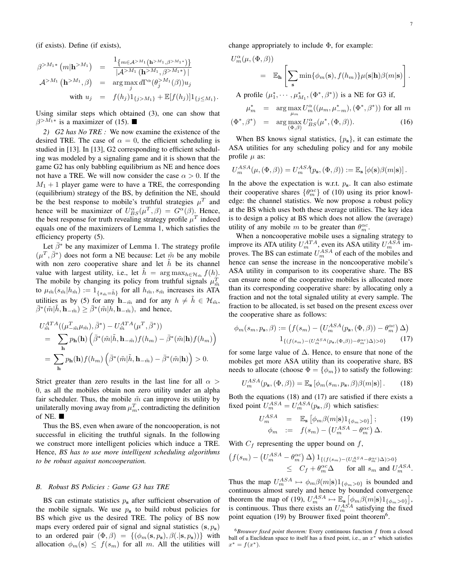(if exists). Define (if exists),

$$
\beta^{>M_1*} (m|\mathbf{h}^{>M_1}) = \frac{1_{\{m \in \mathcal{A}^{>M_1} (\mathbf{h}^{>M_1}, \beta^{>M_1*})\}}}{|\mathcal{A}^{>M_1} (\mathbf{h}^{>M_1}, \beta)^{M_1*})|}
$$
  
\n
$$
\mathcal{A}^{>M_1} (\mathbf{h}^{>M_1}, \beta) = \arg \max_{j} d\Gamma^{\alpha}(\theta_j^{>M_1}(\beta)) u_j
$$
  
\nwith  $u_j = f(h_j) 1_{\{j > M_1\}} + \mathbb{E}[f(h_j)] 1_{\{j \le M_1\}}.$ 

Using similar steps which obtained (3), one can show that  $\beta^{>M_1*}$  is a maximizer of (15).

*2) G2 has No TRE :* We now examine the existence of the desired TRE. The case of  $\alpha = 0$ , the efficient scheduling is studied in [13]. In [13], G2 corresponding to efficient scheduling was modeled by a signaling game and it is shown that the game G2 has only babbling equilibrium as NE and hence does not have a TRE. We will now consider the case  $\alpha > 0$ . If the  $M_1 + 1$  player game were to have a TRE, the corresponding (equilibrium) strategy of the BS, by definition the NE, should be the best response to mobile's truthful strategies  $\mu^T$  and hence will be maximizer of  $U_{BS}^{\alpha}(\mu^T, \beta) = G^{\alpha}(\beta)$ . Hence, the best response for truth revealing strategy profile  $\mu^T$  indeed equals one of the maximizers of Lemma 1, which satisfies the efficiency property (5).

Let  $\bar{\beta}^*$  be any maximizer of Lemma 1. The strategy profile  $(\mu^T, \bar{\beta}^*)$  does not form a NE because: Let  $\tilde{m}$  be any mobile with non zero cooperative share and let  $h$  be its channel value with largest utility, i.e., let  $\tilde{h} = \arg \max_{h \in \mathcal{H}_{\tilde{m}}} f(h)$ . The mobile by changing its policy from truthful signals  $\mu_{\tilde{m}}^T$ to  $\mu_{\tilde{m}}(s_{\tilde{m}}|h_{\tilde{m}}) := 1_{\{s_{\tilde{m}}=\tilde{h}\}}$  for all  $h_{\tilde{m}}, s_{\tilde{m}}$  increases its ATA utilities as by (5) for any  $h_{-\tilde{m}}$  and for any  $h \neq \tilde{h} \in \mathcal{H}_{\tilde{m}}$ ,  $\bar{\beta}^*(\tilde{m}|\tilde{h}, \mathbf{h}_{-\tilde{m}}) \geq \bar{\beta}^*(\tilde{m}|h, \mathbf{h}_{-\tilde{m}})$ , and hence,

$$
U_{\tilde{m}}^{ATA}((\mu_{-\tilde{m}}^T \mu_{\tilde{m}}), \bar{\beta}^*) - U_{\tilde{m}}^{ATA}(\mu^T, \bar{\beta}^*))
$$
  
= 
$$
\sum_{\mathbf{h}} p_{\mathbf{h}}(\mathbf{h}) \left( \bar{\beta}^*(\tilde{m}|\tilde{h}, \mathbf{h}_{-\tilde{m}}) f(h_m) - \bar{\beta}^*(\tilde{m}|\mathbf{h}) f(h_m) \right)
$$
  
= 
$$
\sum_{\mathbf{h}} p_{\mathbf{h}}(\mathbf{h}) f(h_m) \left( \bar{\beta}^*(\tilde{m}|\tilde{h}, \mathbf{h}_{-\tilde{m}}) - \bar{\beta}^*(\tilde{m}|\mathbf{h}) \right) > 0.
$$

Strict greater than zero results in the last line for all  $\alpha$ 0, as all the mobiles obtain non zero utility under an alpha fair scheduler. Thus, the mobile  $\tilde{m}$  can improve its utility by unilaterally moving away from  $\mu_m^T$ , contradicting the definition of NE.  $\blacksquare$ 

Thus the BS, even when aware of the noncooperation, is not successful in eliciting the truthful signals. In the following we construct more intelligent policies which induce a TRE. Hence, *BS has to use more intelligent scheduling algorithms to be robust against noncooperation.*

#### *B. Robust BS Policies : Game G3 has TRE*

BS can estimate statistics  $p_s$  after sufficient observation of the mobile signals. We use  $p<sub>s</sub>$  to build robust policies for BS which give us the desired TRE. The policy of BS now maps every ordered pair of signal and signal statistics  $(s, p_s)$ to an ordered pair  $(\Phi, \beta) = \{(\phi_m(s, p_s), \beta(.|s, p_s))\}$  with allocation  $\phi_m(s) \leq f(s_m)$  for all m. All the utilities will change appropriately to include  $\Phi$ , for example:

$$
U_m^{\alpha}(\mu, (\Phi, \beta))
$$
  
=  $\mathbb{E}_{\mathbf{h}} \left[ \sum_{\mathbf{s}} \min \{ \phi_m(\mathbf{s}), f(h_m) \} \mu(\mathbf{s}|\mathbf{h}) \beta(m|\mathbf{s}) \right].$   
A profile  $(\mu_1^*, \cdots, \mu_{M_1}^*, (\Phi^*, \beta^*))$  is a NE for G3 if,  
 $\mu_m^* = \arg \max_{\mu_m} U_m^{\alpha}((\mu_m, \mu_{-m}^*), (\Phi^*, \beta^*))$  for all m

$$
(\Phi^*, \beta^*) = \arg \max_{(\Phi, \beta)} U_{BS}^{\alpha}(\mu^*, (\Phi, \beta)). \tag{16}
$$

When BS knows signal statistics,  $\{p_s\}$ , it can estimate the ASA utilities for any scheduling policy and for any mobile profile  $\mu$  as:

$$
U_m^{ASA}(\mu, (\Phi, \beta)) = U_m^{AS}(\Phi, \beta)) := \mathbb{E}_{\mathbf{s}} \left[ \phi(\mathbf{s}) \beta(m|\mathbf{s}) \right].
$$

In the above the expectation is w.r.t.  $p_s$ . It can also estimate their cooperative shares  $\{\theta_m^{\alpha c}\}$  of (10) using its prior knowledge: the channel statistics. We now propose a robust policy at the BS which uses both these average utilities. The key idea is to design a policy at BS which does not allow the (average) utility of any mobile m to be greater than  $\theta_m^{\alpha c}$ .

When a noncooperative mobile uses a signaling strategy to improve its ATA utility  $U_m^{ATA}$ , even its ASA utility  $U_m^{ASA}$  improves. The BS can estimate  $U_m^{ASA}$  of each of the mobiles and hence can sense the increase in the noncooperative mobile's ASA utility in comparison to its cooperative share. The BS can ensure none of the cooperative mobiles is allocated more than its corresponding cooperative share: by allocating only a fraction and not the total signaled utility at every sample. The fraction to be allocated, is set based on the present excess over the cooperative share as follows:

$$
\phi_m(s_m, p_s, \beta) := \left( f(s_m) - \left( U_m^{ASA}(p_s, (\Phi, \beta)) - \theta_m^{\alpha c} \right) \Delta \right)
$$

$$
1_{\{(f(s_m) - (U_m^{ASA}(p_s, (\Phi, \beta)) - \theta_m^{\alpha c}) \Delta) > 0\}} \tag{17}
$$

for some large value of  $\Delta$ . Hence, to ensure that none of the mobiles get more ASA utility than its cooperative share, BS needs to allocate (choose  $\Phi = {\phi_m}$ ) to satisfy the following:

$$
U_m^{ASA}(p_{\mathbf{s}}, (\Phi, \beta)) = \mathbb{E}_{\mathbf{s}} \left[ \phi_m(s_m, p_{\mathbf{s}}, \beta) \beta(m|\mathbf{s}) \right]. \tag{18}
$$

Both the equations (18) and (17) are satisfied if there exists a fixed point  $U_m^{ASA} = U_m^{ASA}(p_s, \beta)$  which satisfies:

$$
U_m^{ASA} = \mathbb{E}_s \left[ \phi_m \beta(m|s) 1_{\{\phi_m > 0\}} \right];
$$
\n
$$
\phi_m := f(s_m) - \left( U_m^{ASA} - \theta_m^{ac} \right) \Delta.
$$
\n(19)

With  $C_f$  representing the upper bound on  $f$ ,

$$
\begin{aligned} \left( f(s_m) - \left( U_m^{ASA} - \theta_m^{\alpha c} \right) \Delta \right) 1_{\{(f(s_m) - (U_m^{ASA} - \theta_m^{\alpha c}) \Delta) > 0\}} \\ &\leq \ C_f + \theta_m^{\alpha c} \Delta \qquad \text{for all } s_m \text{ and } U_m^{ASA}. \end{aligned}
$$

Thus the map  $U_m^{ASA} \mapsto \phi_m \beta(m|\mathbf{s}) 1_{\{\phi_m > 0\}}$  is bounded and continuous almost surely and hence by bounded convergence theorem the map of (19),  $U_m^{ASA} \mapsto \mathbb{E}_s \left[ \phi_m \beta(m|s) 1_{\{\phi_m > 0\}} \right],$ is continuous. Thus there exists an  $U_m^{ASA}$  satisfying the fixed point equation (19) by Brouwer fixed point theorem<sup>6</sup>.

<sup>6</sup>*Brouwer fixed point theorem:* Every continuous function f from a closed ball of a Euclidean space to itself has a fixed point, i.e., an  $x^*$  which satisfies  $x^* = f(x^*).$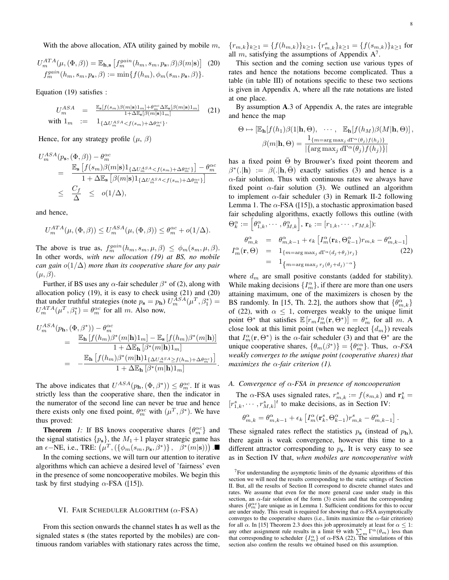$$
U_m^{ATA}(\mu, (\Phi, \beta)) = \mathbb{E}_{\mathbf{h}, \mathbf{s}} \left[ f_m^{gain}(h_m, s_m, p_\mathbf{s}, \beta) \beta(m|\mathbf{s}) \right]
$$
 (20)  

$$
f_m^{gain}(h_m, s_m, p_\mathbf{s}, \beta) := \min \{ f(h_m), \phi_m(s_m, p_\mathbf{s}, \beta) \}.
$$

Equation (19) satisfies :

$$
U_m^{ASA} = \frac{\mathbb{E}_{\mathbf{s}}[f(s_m)\beta(m|\mathbf{s})1_m] + \theta_m^{\alpha c} \Delta \mathbb{E}_{\mathbf{s}}[\beta(m|\mathbf{s})1_m]}{1 + \Delta \mathbb{E}_{\mathbf{s}}[\beta(m|\mathbf{s})1_m]}
$$
 (21)  
with  $1_m := 1_{\{\Delta U_m^{ASA} < f(s_m) + \Delta \theta_m^{\alpha c}\}}$ .

Hence, for any strategy profile  $(\mu, \beta)$ 

$$
U_m^{ASA}(p_s, (\Phi, \beta)) - \theta_m^{\alpha c}
$$
  
= 
$$
\frac{\mathbb{E}_{\mathbf{s}} \left[ f(s_m) \beta(m|\mathbf{s}) \mathbb{1}_{\{\Delta U_m^{ASA} < f(s_m) + \Delta \theta_m^{\alpha c} \}} \right] - \theta_m^{\alpha c}}{1 + \Delta \mathbb{E}_{\mathbf{s}} \left[ \beta(m|\mathbf{s}) \mathbb{1}_{\{\Delta U_m^{ASA} < f(s_m) + \Delta \theta_m^{\alpha c} \}} \right]}
$$
  

$$
\leq \frac{C_f}{\Delta} \leq o(1/\Delta),
$$

and hence,

$$
U_m^{ATA}(\mu, (\Phi, \beta)) \leq U_m^{ASA}(\mu, (\Phi, \beta)) \leq \theta_m^{\alpha c} + o(1/\Delta).
$$

The above is true as,  $f_m^{gain}(h_m, s_m, \mu, \beta) \leq \phi_m(s_m, \mu, \beta)$ . In other words, *with new allocation (19) at BS, no mobile can gain* o(1/∆) *more than its cooperative share for any pair*  $(\mu, \beta).$ 

Further, if BS uses any  $\alpha$ -fair scheduler  $\beta^*$  of (2), along with allocation policy (19), it is easy to check using (21) and (20) that under truthful strategies (note  $p_s = p_h U_m^{ASA}(\mu^T, \beta_1^*) =$  $U_m^{ATA}(\mu^T, \beta_1^*) = \theta_m^{\alpha c}$  for all m. Also now,

$$
U_m^{ASA}(p_{\mathbf{h}},(\Phi,\beta^*)) - \theta_m^{\alpha c}
$$
  
= 
$$
\frac{\mathbb{E}_{\mathbf{h}}[f(h_m)\beta^*(m|\mathbf{h})1_m] - \mathbb{E}_{\mathbf{s}}[f(h_m)\beta^*(m|\mathbf{h})]}{1 + \Delta \mathbb{E}_{\mathbf{h}}[\beta^*(m|\mathbf{h})1_m]}
$$
  
= 
$$
-\frac{\mathbb{E}_{\mathbf{h}}[f(h_m)\beta^*(m|\mathbf{h})1_{\{\Delta U_m^{ASA} \ge f(h_m) + \Delta \theta_m^{\alpha c}\}}]}{1 + \Delta \mathbb{E}_{\mathbf{h}}[\beta^*(m|\mathbf{h})1_m]}.
$$

The above indicates that  $U^{ASA}(p_{\bf h},(\Phi,\beta^*)) \leq \theta_m^{\alpha c}$ . If it was strictly less than the cooperative share, then the indicator in the numerator of the second line can never be true and hence there exists only one fixed point,  $\theta_m^{\alpha c}$  with  $(\mu^T, \beta^*)$ . We have thus proved:

**Theorem** 1: If BS knows cooperative shares  $\{\theta_m^{\alpha c}\}\$  and the signal statistics  $\{p_s\}$ , the  $M_1 + 1$  player strategic game has an  $\epsilon$ -NE, i.e., TRE:  $(\mu^T, (\{\phi_m(s_m, p_s, \beta^*)\}, \ \ \beta^*(m|s)))$ .

In the coming sections, we will turn our attention to iterative algorithms which can achieve a desired level of 'fairness' even in the presence of some noncooperative mobiles. We begin this task by first studying  $\alpha$ -FSA ([15]).

#### VI. FAIR SCHEDULER ALGORITHM  $(\alpha$ -FSA)

From this section onwards the channel states h as well as the signaled states s (the states reported by the mobiles) are continuous random variables with stationary rates across the time,  ${r_{m,k}}_{k\geq 1} = {f(h_{m,k})}_{k\geq 1}, {r_{m,k}}_{k\geq 1} = {f(s_{m,k})}_{k\geq 1}$  for all  $m$ , satisfying the assumptions of Appendix  $A^7$ .

This section and the coming section use various types of rates and hence the notations become complicated. Thus a table (in table III) of notations specific to these two sections is given in Appendix A, where all the rate notations are listed at one place.

By assumption A.3 of Appendix A, the rates are integrable and hence the map

$$
\Theta \mapsto \left[ \mathbb{E}_{\mathbf{h}}[f(h_1)\beta(1|\mathbf{h}, \Theta), \cdots, \mathbb{E}_{\mathbf{h}}[f(h_M)\beta(M|\mathbf{h}, \Theta)] \right],
$$

$$
\beta(m|\mathbf{h}, \Theta) = \frac{1_{\{m = \arg\max_j d\Gamma^{\alpha}(\theta_j)f(h_j)\}}}{|\{\arg\max_j d\Gamma^{\alpha}(\theta_j)f(h_j)\}|}
$$

has a fixed point  $\overline{\Theta}$  by Brouwer's fixed point theorem and  $\beta^*(.|\mathbf{h}) := \beta(.|\mathbf{h}, \bar{\Theta})$  exactly satisfies (3) and hence is a  $\alpha$ -fair solution. Thus with continuous rates we always have fixed point  $\alpha$ -fair solution (3). We outlined an algorithm to implement  $\alpha$ -fair scheduler (3) in Remark II-2 following Lemma 1. The  $\alpha$ -FSA ([15]), a stochastic approximation based fair scheduling algorithms, exactly follows this outline (with  $\Theta^{\alpha}_k := \left[\theta^{\alpha}_{1,k},\cdots,\theta^{\alpha}_{M,k}\right],\, {\bf r}_k := [r_{1,k},\cdots,r_{M,k}])$ :

$$
\begin{array}{rcl}\n\theta_{m,k}^{\alpha} & = & \theta_{m,k-1}^{\alpha} + \epsilon_k \left[ I_m^{\alpha}(\mathbf{r}_k, \Theta_{k-1}^{\alpha}) r_{m,k} - \theta_{m,k-1}^{\alpha} \right] \\
I_m^{\alpha}(\mathbf{r}, \Theta) & = & 1_{\{m = \arg\max_j d\Gamma^{\alpha}(d_j + \theta_j) r_j\}} \\
& = & 1_{\{m = \arg\max_j r_j(\theta_j + d_j)^{-\alpha}\}}\n\end{array} \tag{22}
$$

where  $d_m$  are small positive constants (added for stability). While making decisions  $\{I_m^{\alpha}\}\,$ , if there are more than one users attaining maximum, one of the maximizers is chosen by the BS randomly. In [15, Th. 2.2], the authors show that  $\{\theta_{m,k}^{\alpha}\}$ of (22), with  $\alpha \leq 1$ , converges weakly to the unique limit point  $\Theta^*$  that satisfies  $\mathbb{E}\left[r_m I_m^{\alpha}(\mathbf{r}, \Theta^*)\right] = \theta_m^*$  for all m. A close look at this limit point (when we neglect  $\{d_m\}$ ) reveals that  $I_m^{\alpha}(\mathbf{r}, \Theta^*)$  is the  $\alpha$ -fair scheduler (3) and that  $\Theta^*$  are the unique cooperative shares,  $\{\theta_m(\beta^*)\} = \{\theta_m^{c\alpha}\}\.$  Thus,  $\alpha$ -FSA *weakly converges to the unique point (cooperative shares) that maximizes the* α*-fair criterion (1).*

#### *A. Convergence of* α*-FSA in presence of noncooperation*

The  $\alpha$ -FSA uses signaled rates,  $r^s_{m,k} := f(s_{m,k})$  and  $\mathbf{r}^s_k =$  $[r_{1,k}^s, \dots, r_{M,k}^s]^t$  to make decisions, as in Section IV:

$$
\theta_{m,k}^\alpha = \theta_{m,k-1}^\alpha + \epsilon_k \left[ I_m^\alpha(\mathbf{r}^s_k, \Theta_{k-1}^\alpha) r_{m,k}^s - \theta_{m,k-1}^\alpha \right].
$$

These signaled rates reflect the statistics  $p_s$  (instead of  $p_h$ ), there again is weak convergence, however this time to a different attractor corresponding to  $p_s$ . It is very easy to see as in Section IV that, *when mobiles are noncooperative with*

 $7$ For understanding the asymptotic limits of the dynamic algorithms of this section we will need the results corresponding to the static settings of Section II. But, all the results of Section II correspond to discrete channel states and rates. We assume that even for the more general case under study in this section, an  $\alpha$ -fair solution of the form (3) exists and that the corresponding shares  $\{\theta_m^{\alpha c}\}$ are unique as in Lemma 1. Sufficient conditions for this to occur are under study. This result is required for showing that  $\alpha$ -FSA asymptotically converges to the cooperative shares (i.e., limits maximize the  $\alpha$ -fair criterion) for all  $\alpha$ . In [15] Theorem 2.3 does this job approximately at least for  $\alpha \leq 1$ : any other assignment rule results in a limit  $\Theta$  with  $\sum_{m} \Gamma^{\alpha}(\theta_m)$  less than that corresponding to scheduler  $\{I_m^{\alpha}\}$  of  $\alpha$ -FSA (22). The simulations of this section also confirm the results we obtained based on this assumption.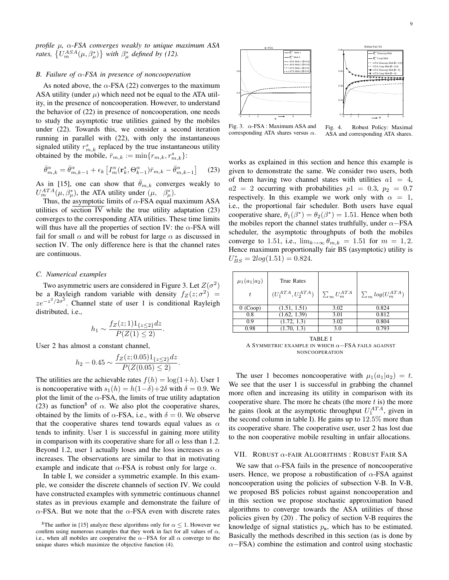*profile* µ*,* α*-FSA converges weakly to unique maximum ASA rates,*  $\{U_m^{ASA}(\mu, \beta_{\mu}^*)\}$  *with*  $\beta_{\mu}^*$  *defined by (12).* 

#### *B. Failure of* α*-FSA in presence of noncooperation*

As noted above, the  $\alpha$ -FSA (22) converges to the maximum ASA utility (under  $\mu$ ) which need not be equal to the ATA utility, in the presence of noncooperation. However, to understand the behavior of (22) in presence of noncooperation, one needs to study the asymptotic true utilities gained by the mobiles under (22). Towards this, we consider a second iteration running in parallel with (22), with only the instantaneous signaled utility  $r_{m,k}^s$  replaced by the true instantaneous utility obtained by the mobile,  $\bar{r}_{m,k} := \min\{r_{m,k}, r_{m,k}^s\}$ :

$$
\bar{\theta}_{m,k}^{\alpha} = \bar{\theta}_{m,k-1}^{\alpha} + \epsilon_k \left[ I_m^{\alpha}(\mathbf{r}_k^s, \Theta_{k-1}^{\alpha}) \bar{r}_{m,k} - \bar{\theta}_{m,k-1}^{\alpha} \right] \tag{23}
$$

As in [15], one can show that  $\bar{\theta}_{m,k}$  converges weakly to  $U_m^{ATA}(\mu, \beta_\mu^*)$ , the ATA utility under  $(\mu, \beta_\mu^*)$ .

Thus, the asymptotic limits of  $\alpha$ -FSA equal maximum ASA utilities of section IV while the true utility adaptation (23) converges to the corresponding ATA utilities. These time limits will thus have all the properties of section IV: the  $\alpha$ -FSA will fail for small  $\alpha$  and will be robust for large  $\alpha$  as discussed in section IV. The only difference here is that the channel rates are continuous.

#### *C. Numerical examples*

Two asymmetric users are considered in Figure 3. Let  $Z(\sigma^2)$ be a Rayleigh random variable with density  $f_Z(z; \sigma^2)$  =  $ze^{-z^2/2\sigma^2}$ . Channel state of user 1 is conditional Rayleigh distributed, i.e.,

$$
h_1 \sim \frac{f_Z(z;1)1_{\{z \le 2\}}dz}{P(Z(1) \le 2)}.
$$

User 2 has almost a constant channel,

$$
h_2 - 0.45 \sim \frac{f_Z(z; 0.05)1_{\{z \le 2\}}dz}{P(Z(0.05) \le 2)}.
$$

The utilities are the achievable rates  $f(h) = \log(1+h)$ . User 1 is noncooperative with  $s_1(h) = h(1-\delta) + 2\delta$  with  $\delta = 0.9$ . We plot the limit of the  $\alpha$ -FSA, the limits of true utility adaptation (23) as function<sup>8</sup> of  $\alpha$ . We also plot the cooperative shares, obtained by the limits of  $\alpha$ -FSA, i.e., with  $\delta = 0$ . We observe that the cooperative shares tend towards equal values as  $\alpha$ tends to infinity. User 1 is successful in gaining more utility in comparison with its cooperative share for all  $\alpha$  less than 1.2. Beyond 1.2, user 1 actually loses and the loss increases as  $\alpha$ increases. The observations are similar to that in motivating example and indicate that  $\alpha$ -FSA is robust only for large  $\alpha$ .

In table I, we consider a symmetric example. In this example, we consider the discrete channels of section IV. We could have constructed examples with symmetric continuous channel states as in previous example and demonstrate the failure of  $\alpha$ -FSA. But we note that the  $\alpha$ -FSA even with discrete rates



Fig. 3.  $\alpha$ -FSA : Maximum ASA and corresponding ATA shares versus  $\alpha$ .

Fig. 4. Robust Policy: Maximal ASA and corresponding ATA shares.

works as explained in this section and hence this example is given to demonstrate the same. We consider two users, both of them having two channel states with utilities  $a1 = 4$ ,  $a2 = 2$  occurring with probabilities  $p1 = 0.3$ ,  $p_2 = 0.7$ respectively. In this example we work only with  $\alpha = 1$ , i.e., the proportional fair scheduler. Both users have equal cooperative share,  $\theta_1(\beta^*) = \theta_2(\beta^*) = 1.51$ . Hence when both the mobiles report the channel states truthfully, under  $\alpha$ −FSA scheduler, the asymptotic throughputs of both the mobiles converge to 1.51, i.e.,  $\lim_{k\to\infty} \theta_{m,k} = 1.51$  for  $m = 1, 2$ . Hence maximum proportionally fair BS (asymptotic) utility is  $U_{BS}^* = 2log(1.51) = 0.824.$ 

| $\mu_1(a_1 a_2)$ | True Rates               |                      |                           |
|------------------|--------------------------|----------------------|---------------------------|
|                  | $(U_1^{ATA}, U_2^{ATA})$ | $\sum_{m} U_m^{ATA}$ | $\sum_{m} log(U_m^{ATA})$ |
| $0$ (Coop)       | (1.51, 1.51)             | 3.02                 | 0.824                     |
| 0.8              | (1.62, 1.39)             | 3.01                 | 0.812                     |
| 0.9              | (1.72, 1.3)              | 3.02                 | 0.804                     |
| 0.98             | (1.70, 1.3)              | 3.0                  | 0.793                     |
|                  |                          |                      |                           |

TABLE I A SYMMETRIC EXAMPLE IN WHICH  $\alpha$ -FSA FAILS AGAINST NONCOOPERATION

The user 1 becomes noncooperative with  $\mu_1(a_1|a_2) = t$ . We see that the user 1 is successful in grabbing the channel more often and increasing its utility in comparison with its cooperative share. The more he cheats (the more  $t$  is) the more he gains (look at the asymptotic throughput  $U_1^{ATA}$ , given in the second column in table I). He gains up to 12.5% more than its cooperative share. The cooperative user, user 2 has lost due to the non cooperative mobile resulting in unfair allocations.

#### VII. ROBUST  $\alpha$ -FAIR ALGORITHMS: ROBUST FAIR SA

We saw that  $\alpha$ -FSA fails in the presence of noncooperative users. Hence, we propose a robustification of  $\alpha$ -FSA against noncooperation using the policies of subsection V-B. In V-B, we proposed BS policies robust against noncooperation and in this section we propose stochastic approximation based algorithms to converge towards the ASA utilities of those policies given by (20) . The policy of section V-B requires the knowledge of signal statistics  $p_s$ , which has to be estimated. Basically the methods described in this section (as is done by  $\alpha$ −FSA) combine the estimation and control using stochastic

<sup>&</sup>lt;sup>8</sup>The author in [15] analyze these algorithms only for  $\alpha \leq 1$ . However we confirm using numerous examples that they work in fact for all values of  $\alpha$ , i.e., when all mobiles are cooperative the  $\alpha$ -FSA for all  $\alpha$  converge to the unique shares which maximize the objective function (4).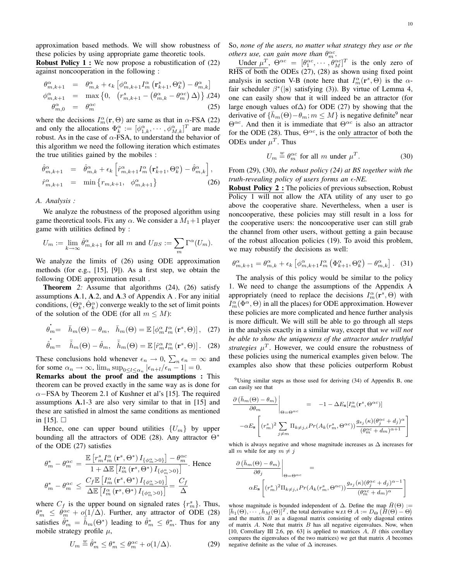approximation based methods. We will show robustness of these policies by using appropriate game theoretic tools.

**Robust Policy 1 :** We now propose a robustification of  $(22)$ against noncooperation in the following :

$$
\begin{array}{rcl}\n\theta_{m,k+1}^{\alpha} & = & \theta_{m,k}^{\alpha} + \epsilon_k \left[ \phi_{m,k+1}^{\alpha} I_m^{\alpha} \left( \mathbf{r}_{k+1}^s, \Theta_k^{\alpha} \right) - \theta_{m,k}^{\alpha} \right] \\
\phi_{m,k+1}^{\alpha} & = & \max \left\{ 0, \quad \left( r_{m,k+1}^s - \left( \theta_{m,k}^{\alpha} - \theta_m^{\alpha c} \right) \Delta \right) \right\}, \\
\theta_{m,0}^{\alpha} & = & \theta_m^{\alpha c}\n\end{array} \tag{25}
$$

where the decisions  $I_m^{\alpha}(\mathbf{r}, \Theta)$  are same as that in  $\alpha$ -FSA (22) and only the allocations  $\Phi_k^{\alpha} := [\phi_{1,k}^{\alpha}, \cdots, \phi_{M,k}^{\alpha}]^T$  are made robust. As in the case of  $\alpha$ -FSA, to understand the behavior of this algorithm we need the following iteration which estimates the true utilities gained by the mobiles :

$$
\begin{array}{rcl}\n\hat{\theta}_{m,k+1}^{\alpha} & = & \hat{\theta}_{m,k}^{\alpha} + \epsilon_k \left[ \hat{r}_{m,k+1}^{\alpha} I_m^{\alpha} \left( \mathbf{r}_{k+1}^s, \Theta_k^{\alpha} \right) - \hat{\theta}_{m,k}^{\alpha} \right], \\
\hat{r}_{m,k+1}^{\alpha} & = & \min \left\{ r_{m,k+1}, \quad \phi_{m,k+1}^{\alpha} \right\} \n\end{array} \tag{26}
$$

#### *A. Analysis :*

We analyze the robustness of the proposed algorithm using game theoretical tools. Fix any  $\alpha$ . We consider a  $M_1+1$  player game with utilities defined by :

$$
U_m := \lim_{k \to \infty} \hat{\theta}_{m,k+1}^{\alpha} \text{ for all } m \text{ and } U_{BS} := \sum_m \Gamma^{\alpha}(U_m).
$$

We analyze the limits of (26) using ODE approximation methods (for e.g., [15], [9]). As a first step, we obtain the following ODE approximation result .

**Theorem** 2: Assume that algorithms (24), (26) satisfy assumptions A.1, A.2, and A.3 of Appendix A . For any initial conditions,  $(\Theta_k^{\alpha}, \hat{\Theta}_k^{\alpha})$  converge weakly to the set of limit points of the solution of the ODE (for all  $m \leq M$ ):

$$
\dot{\theta_m} = \bar{h}_m(\Theta) - \theta_m, \quad \bar{h}_m(\Theta) = \mathbb{E}\left[\phi_m^{\alpha} I_m^{\alpha}(\mathbf{r}^s, \Theta)\right], \quad (27)
$$

$$
\dot{\hat{\theta}}_m = \quad \bar{\hat{h}}_m(\Theta) - \hat{\theta}_m, \quad \bar{\hat{h}}_m(\Theta) = \mathbb{E}\left[\hat{r}_m^{\alpha} I_m^{\alpha}(\mathbf{r}^s, \Theta)\right]. \tag{28}
$$

These conclusions hold whenever  $\epsilon_n \to 0$ ,  $\sum_n \epsilon_n = \infty$  and for some  $\alpha_n \to \infty$ ,  $\lim_n \sup_{0 \le l \le \alpha_n} |\epsilon_{n+l}/\epsilon_n - 1| = 0$ .

Remarks about the proof and the assumptions : This theorem can be proved exactly in the same way as is done for  $\alpha$ −FSA by Theorem 2.1 of Kushner et al's [15]. The required assumptions A.1-3 are also very similar to that in [15] and these are satisfied in almost the same conditions as mentioned in  $[15]$ .  $\square$ 

Hence, one can upper bound utilities  $\{U_m\}$  by upper bounding all the attractors of ODE (28). Any attractor Θ<sup>∗</sup> of the ODE (27) satisfies

$$
\begin{aligned} \theta_m^* - \theta_m^{\alpha c} &= \frac{\mathbb{E}\left[r_m^s I_m^\alpha \left(\mathbf{r}^s, \Theta^*\right) I_{\{\phi_m^\alpha > 0\}}\right] - \theta_m^{\alpha c}}{1 + \Delta \mathbb{E}\left[I_m^\alpha \left(\mathbf{r}^s, \Theta^*\right) I_{\{\phi_m^\alpha > 0\}}\right]} . \text{ Hence} \\ \theta_m^* - \theta_m^{\alpha c} &\leq \frac{C_f \mathbb{E}\left[I_m^\alpha \left(\mathbf{r}^s, \Theta^*\right) I_{\{\phi_m^\alpha > 0\}}\right]}{\Delta \mathbb{E}\left[I_m^\alpha \left(\mathbf{r}^s, \Theta^*\right) I_{\{\phi_m^\alpha > 0\}}\right]} = \frac{C_f}{\Delta} \end{aligned}
$$

where  $C_f$  is the upper bound on signaled rates  $\{r_m^s\}$ . Thus,  $\theta_m^* \leq \theta_m^{\alpha c} + o(1/\Delta)$ . Further, any attractor of ODE (28) satisfies  $\hat{\theta}_m^* = \hat{\vec{h}}_m(\Theta^*)$  leading to  $\hat{\theta}_m^* \leq \theta_m^*$ . Thus for any mobile strategy profile  $\mu$ ,

$$
U_m \stackrel{w}{=} \hat{\theta}_m^* \le \theta_m^* \le \theta_m^{\alpha c} + o(1/\Delta). \tag{29}
$$

So, *none of the users, no matter what strategy they use or the others use, can gain more than*  $\theta_m^{\alpha c}$ .

Under  $\mu^T$ ,  $\Theta^{\alpha c} = [\theta_1^{\alpha c}, \cdots, \theta_M^{\alpha c}]^T$  is the only zero of RHS of both the ODEs (27), (28) as shown using fixed point analysis in section V-B (note here that  $I_m^{\alpha}(\mathbf{r}^s, \Theta)$  is the  $\alpha$ fair scheduler  $\beta^*$ (|s) satisfying (3)). By virtue of Lemma 4, one can easily show that it will indeed be an attractor (for large enough values of∆) for ODE (27) by showing that the derivative of  $\{\bar{h}_m(\Theta) - \theta_m; m \leq M\}$  is negative definite<sup>9</sup> near  $\Theta^{\alpha c}$ . And then it is immediate that  $\Theta^{\alpha c}$  is also an attractor for the ODE (28). Thus,  $\Theta^{\alpha c}$ , is the only attractor of both the ODEs under  $\mu^T$ . Thus

$$
U_m \stackrel{w}{=} \theta_m^{\alpha c} \text{ for all } m \text{ under } \mu^T. \tag{30}
$$

From (29), (30), *the robust policy (24) at BS together with the truth-revealing policy of users forms an*  $\epsilon$ *-NE.* 

Robust Policy 2 : The policies of previous subsection, Robust Policy 1 will not allow the ATA utility of any user to go above the cooperative share. Nevertheless, when a user is noncooperative, these policies may still result in a loss for the cooperative users: the noncooperative user can still grab the channel from other users, without getting a gain because of the robust allocation policies (19). To avoid this problem, we may robustify the decisions as well:

$$
\theta_{m,k+1}^{\alpha} = \theta_{m,k}^{\alpha} + \epsilon_k \left[ \phi_{m,k+1}^{\alpha} I_m^{\alpha} \left( \Phi_{k+1}^{\alpha}, \Theta_k^{\alpha} \right) - \theta_{m,k}^{\alpha} \right].
$$
 (31)

The analysis of this policy would be similar to the policy 1. We need to change the assumptions of the Appendix A appropriately (need to replace the decisions  $I_m^{\alpha}(\mathbf{r}^s, \Theta)$  with  $I_m^{\alpha}(\Phi^{\alpha},\Theta)$  in all the places) for ODE approximation. However these policies are more complicated and hence further analysis is more difficult. We will still be able to go through all steps in the analysis exactly in a similar way, except that *we will not be able to show the uniqueness of the attractor under truthful strategies*  $\mu^T$ . However, we could ensure the robustness of these policies using the numerical examples given below. The examples also show that these policies outperform Robust

 $9^9$ Using similar steps as those used for deriving (34) of Appendix B, one can easily see that

$$
\frac{\partial \left( \bar{h}_{m}(\Theta) - \theta_{m} \right)}{\partial \theta_{m}} \Big|_{\Theta = \Theta^{\alpha c}} = -1 - \Delta E_{\mathbf{s}} \left[ I_{m}^{\alpha}(\mathbf{r}^{s}, \Theta^{\alpha c}) \right]
$$

$$
- \alpha E_{\mathbf{s}} \left[ (r_{m}^{s})^{2} \sum_{j \neq m} \Pi_{k \neq j,i} Pr(A_{k}(r_{m}^{s}, \Theta^{\alpha c})) \frac{g_{s_{j}}(\kappa)(\theta_{j}^{\alpha c} + d_{j})^{\alpha}}{(\theta_{m}^{\alpha c} + d_{m})^{\alpha + 1}} \right]
$$

which is always negative and whose magnitude increases as  $\Delta$  increases for all m while for any  $m \neq j$ 

$$
\frac{\partial (\bar{h}_m(\Theta) - \theta_m)}{\partial \theta_j} \Big|_{\Theta = \Theta^{\alpha c}} = \frac{\partial (\bar{h}_m(\Theta) - \theta_m)}{\partial \Theta_s \left[ (r_m^s)^2 \Pi_{k \neq j,i} Pr(A_k(r_m^s, \Theta^{\alpha c})) \frac{g_{s_j}(\kappa) (\theta_j^{\alpha c} + d_j)^{\alpha - 1}}{(\theta_m^{\alpha c} + d_m)^{\alpha}} \right]}
$$

whose magnitude is bounded independent of  $\Delta$ . Define the map  $\bar{H}(\Theta) :=$  $[\bar{h}_1(\Theta), \cdots, \bar{h}_M(\Theta)]^T$ , the total derivative w.r.t  $\Theta$   $A := D_{\Theta} (\bar{H}(\Theta) - \Theta)$ and the matrix  $B$  as a diagonal matrix consisting of only diagonal entires of matrix  $A$ . Note that matrix  $B$  has all negative eigenvalues. Now, when [10, Corrollary III 2.6, pp. 63] is applied to matrices  $A, B$  (this corollary compares the eigenvalues of the two matrices) we get that matrix A becomes negative definite as the value of  $\Delta$  increases.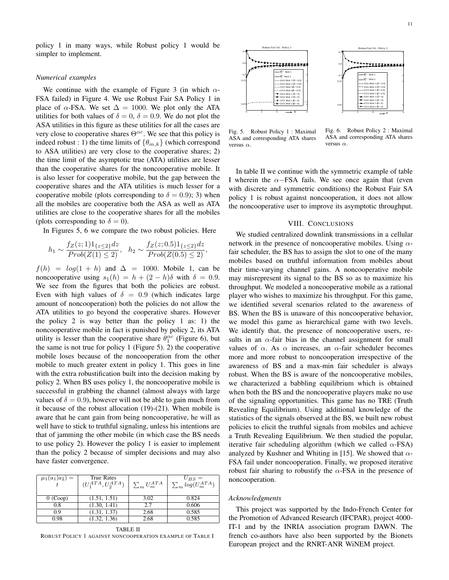policy 1 in many ways, while Robust policy 1 would be simpler to implement.

#### *Numerical examples*

We continue with the example of Figure 3 (in which  $\alpha$ -FSA failed) in Figure 4. We use Robust Fair SA Policy 1 in place of  $\alpha$ -FSA. We set  $\Delta = 1000$ . We plot only the ATA utilities for both values of  $\delta = 0$ ,  $\delta = 0.9$ . We do not plot the ASA utilities in this figure as these utilities for all the cases are very close to cooperative shares  $\Theta^{\alpha c}$ . We see that this policy is indeed robust : 1) the time limits of  $\{\theta_{m,k}\}\$  (which correspond to ASA utilities) are very close to the cooperative shares; 2) the time limit of the asymptotic true (ATA) utilities are lesser than the cooperative shares for the noncooperative mobile. It is also lesser for cooperative mobile, but the gap between the cooperative shares and the ATA utilities is much lesser for a cooperative mobile (plots corresponding to  $\delta = 0.9$ ); 3) when all the mobiles are cooperative both the ASA as well as ATA utilities are close to the cooperative shares for all the mobiles (plots corresponding to  $\delta = 0$ ).

In Figures 5, 6 we compare the two robust policies. Here

$$
h_1 \sim \frac{f_Z(z;1)1_{\{z\leq 2\}}dz}{Prob(Z(1)\leq 2)}, \quad h_2 \sim \frac{f_Z(z;0.5)1_{\{z\leq 2\}}dz}{Prob(Z(0.5)\leq 2)},
$$

 $f(h) = log(1 + h)$  and  $\Delta = 1000$ . Mobile 1, can be noncooperative using  $s_1(h) = h + (2 - h)\delta$  with  $\delta = 0.9$ . We see from the figures that both the policies are robust. Even with high values of  $\delta = 0.9$  (which indicates large amount of noncooperation) both the policies do not allow the ATA utilities to go beyond the cooperative shares. However the policy 2 is way better than the policy 1 as: 1) the noncooperative mobile in fact is punished by policy 2, its ATA utility is lesser than the cooperative share  $\theta_1^{\alpha c}$  (Figure 6), but the same is not true for policy 1 (Figure 5). 2) the cooperative mobile loses because of the noncooperation from the other mobile to much greater extent in policy 1. This goes in line with the extra robustification built into the decision making by policy 2. When BS uses policy 1, the noncooperative mobile is successful in grabbing the channel (almost always with large values of  $\delta = 0.9$ ), however will not be able to gain much from it because of the robust allocation (19)-(21). When mobile is aware that he cant gain from being noncooperative, he will as well have to stick to truthful signaling, unless his intentions are that of jamming the other mobile (in which case the BS needs to use policy 2). However the policy 1 is easier to implement than the policy 2 because of simpler decisions and may also have faster convergence.

| $\mu_1(a_1 a_2) =$ | True Rates<br>$(U_1^{ATA}, U_2^{ATA})$ | $\sum_{m} U_m^{ATA}$ | $U_{BS} = \sum_{m} log(U_m^{ATA})$ |
|--------------------|----------------------------------------|----------------------|------------------------------------|
| $0$ (Coop)         | (1.51, 1.51)                           | 3.02                 | 0.824                              |
| 0.8                | (1.30, 1.41)                           | 2.7                  | 0.606                              |
| 09                 | (1.31, 1.37)                           | 2.68                 | 0.585                              |
| 0.98               | (1.32, 1.36)                           | 2.68                 | 0.585                              |

TABLE II ROBUST POLICY 1 AGAINST NONCOOPERATION EXAMPLE OF TABLE I



Fig. 5. Robust Policy 1 : Maximal ASA and corresponding ATA shares versus  $\alpha$ .

Fig. 6. Robust Policy 2 : Maximal ASA and corresponding ATA shares versus  $\alpha$ .

In table II we continue with the symmetric example of table I wherein the  $\alpha$ −FSA fails. We see once again that (even with discrete and symmetric conditions) the Robust Fair SA policy 1 is robust against noncooperation, it does not allow the noncooperative user to improve its asymptotic throughput.

#### VIII. CONCLUSIONS

We studied centralized downlink transmissions in a cellular network in the presence of noncooperative mobiles. Using  $\alpha$ fair scheduler, the BS has to assign the slot to one of the many mobiles based on truthful information from mobiles about their time-varying channel gains. A noncooperative mobile may misrepresent its signal to the BS so as to maximize his throughput. We modeled a noncooperative mobile as a rational player who wishes to maximize his throughput. For this game, we identified several scenarios related to the awareness of BS. When the BS is unaware of this noncooperative behavior, we model this game as hierarchical game with two levels. We identify that, the presence of noncooperative users, results in an  $\alpha$ -fair bias in the channel assignment for small values of  $\alpha$ . As  $\alpha$  increases, an  $\alpha$ -fair scheduler becomes more and more robust to noncooperation irrespective of the awareness of BS and a max-min fair scheduler is always robust. When the BS is aware of the noncooperative mobiles, we characterized a babbling equilibrium which is obtained when both the BS and the noncooperative players make no use of the signaling opportunities. This game has no TRE (Truth Revealing Equilibrium). Using additional knowledge of the statistics of the signals observed at the BS, we built new robust policies to elicit the truthful signals from mobiles and achieve a Truth Revealing Equilibrium. We then studied the popular, iterative fair scheduling algorithm (which we called  $\alpha$ -FSA) analyzed by Kushner and Whiting in [15]. We showed that  $\alpha$ -FSA fail under noncooperation. Finally, we proposed iterative robust fair sharing to robustify the  $\alpha$ -FSA in the presence of noncooperation.

#### *Acknowledgments*

This project was supported by the Indo-French Center for the Promotion of Advanced Research (IFCPAR), project 4000- IT-1 and by the INRIA association program DAWN. The french co-authors have also been supported by the Bionets European project and the RNRT-ANR WiNEM project.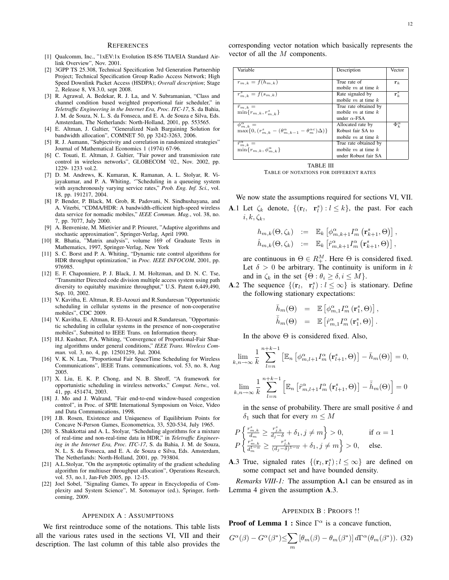#### **REFERENCES**

- [1] Qualcomm, Inc., "1xEV:1x Evolution IS-856 TIA/EIA Standard Airlink Overview", Nov. 2001.
- [2] 3GPP TS 25.308, Technical Specification 3rd Generation Partnership Project; Technical Specification Group Radio Access Network; High Speed Downlink Packet Access (HSDPA); *Overall description*; Stage 2, Release 8, V8.3.0, sept 2008.
- [3] R. Agrawal, A. Bedekar, R. J. La, and V. Subramanian, "Class and channel condition based weighted proportional fair scheduler," in *Teletraffic Engineering in the Internet Era, Proc. ITC-17*, S. da Bahia, J. M. de Souza, N. L. S. da Fonseca, and E. A. de Souza e Silva, Eds. Amsterdam, The Netherlands: North-Holland, 2001, pp. 553565.
- [4] E. Altman, J. Galtier, "Generalized Nash Bargaining Solution for bandwidth allocation", COMNET 50, pp 3242-3263, 2006.
- [5] R. J. Aumann, "Subjectivity and correlation in randomized strategies" Journal of Mathematical Economics 1 (1974) 67-96.
- [6] C. Touati, E. Altman, J. Galtier, "Fair power and transmission rate control in wireless networks", GLOBECOM '02., Nov. 2002, pp. 1229- 1233 vol.2.
- [7] D. M. Andrews, K. Kumaran, K. Ramanan, A. L. Stolyar, R. Vijayakumar, and P. A. Whiting, '"Scheduling in a queueing system with asynchronously varying service rates," *Prob. Eng. Inf. Sci.*, vol. 18, pp. 191217, 2004.
- [8] P. Bender, P. Black, M. Grob, R. Padovani, N. Sindhushayana, and A. Viterbi, "CDMA/HDR: A bandwidth-efficient high-speed wireless data service for nomadic mobiles," *IEEE Commun. Mag.*, vol. 38, no. 7, pp. 7077, July 2000.
- [9] A. Benveniste, M. Mietivier and P. Priouret, "Adaptive algorithms and stochastic approximation", Springer-Verlag, April 1990.
- [10] R. Bhatia, "Matrix analysis", volume 169 of Graduate Texts in Mathematics, 1997, Springer-Verlag, New York
- [11] S. C. Borst and P. A. Whiting, "Dynamic rate control algorithms for HDR throughput optimization," in *Proc. IEEE INFOCOM*, 2001, pp. 976985.
- [12] E. F. Chaponniere, P. J. Black, J. M. Holtzman, and D. N. C. Tse, "Transmitter Directed code division multiple access system using path diversity to equitably maximize throughput," U.S. Patent 6,449,490, Sep. 10, 2002.
- [13] V. Kavitha, E. Altman, R. El-Azouzi and R.Sundaresan "Opportunistic scheduling in cellular systems in the presence of non-cooperative mobiles", CDC 2009.
- [14] V. Kavitha, E. Altman, R. El-Azouzi and R.Sundaresan, "Opportunistic scheduling in cellular systems in the presence of non-cooperative mobiles", Submitted to IEEE Trans. on Information theory.
- [15] H.J. Kushner, P.A. Whiting, "Convergence of Proportional-Fair Sharing algorithms under general conditions," *IEEE Trans. Wireless Commun.* vol. 3, no. 4, pp. 12501259, Jul. 2004.
- [16] V. K. N. Lau, "Proportional Fair SpaceTime Scheduling for Wireless Communications", IEEE Trans. communications, vol. 53, no. 8, Aug 2005.
- [17] X. Liu, E. K. P. Chong, and N. B. Shroff, "A framework for opportunistic scheduling in wireless networks," *Comput. Netw.*, vol. 41, pp. 451474, 2003.
- [18] J. Mo and J. Walrand, "Fair end-to-end window-based congestion control", in Proc. of SPIE International Symposium on Voice, Video and Data Communications, 1998.
- [19] J.B. Rosen, Existence and Uniqueness of Equilibrium Points for Concave N-Person Games, Econometrica, 33, 520-534, July 1965.
- [20] S. Shakkottai and A. L. Stolyar, "Scheduling algorithms for a mixture of real-time and non-real-time data in HDR," in *Teletraffic Engineering in the Internet Era, Proc. ITC-17*, S. da Bahia, J. M. de Souza, N. L. S. da Fonseca, and E. A. de Souza e Silva, Eds. Amsterdam, The Netherlands: North-Holland, 2001, pp. 793804.
- [21] A.L.Stolyar, "On the asymptotic optimality of the gradient scheduling algorithm for multiuser throughput allocation", Operations Research, vol. 53, no.1, Jan-Feb 2005, pp. 12-15.
- [22] Joel Sobel, "Signaling Games, To appear in Encyclopedia of Complexity and System Science", M. Sotomayor (ed.), Springer, forthcoming, 2009.

#### APPENDIX A : ASSUMPTIONS

We first reintroduce some of the notations. This table lists all the various rates used in the sections VI, VII and their description. The last column of this table also provides the corresponding vector notation which basically represents the vector of all the M components.

| Variable                                                                                                     | Description                                                             | Vector            |
|--------------------------------------------------------------------------------------------------------------|-------------------------------------------------------------------------|-------------------|
| $r_{m,k} = f(h_{m,k})$                                                                                       | True rate of<br>mobile $m$ at time $k$                                  | ${\bf r}_k$       |
| $r^s_{m,k} = f(s_{m,k})$                                                                                     | Rate signaled by<br>mobile $m$ at time $k$                              | ${\bf r}_k^s$     |
| $\bar{r}_{m,k} =$<br>$\min\{r_{m,k}, r_{m,k}^s\}$                                                            | True rate obtained by<br>mobile $m$ at time $k$<br>under $\alpha$ -FSA  |                   |
| $\phi_{m,k}^{\alpha} =$<br>$\max\{0, (r_{m,k}^s - (\theta_{m,k-1}^{\alpha} - \theta_m^{\alpha c})\Delta)\}\$ | Allocated rate by<br>Robust fair SA to<br>mobile $m$ at time $k$        | $\Phi_k^{\alpha}$ |
| $\hat{r}^{\alpha}_{m,k}=$<br>$\min\{r_{m,k},\phi_{m,k}^{\alpha}\}\$                                          | True rate obtained by<br>mobile $m$ at time $k$<br>under Robust fair SA |                   |



TABLE OF NOTATIONS FOR DIFFERENT RATES

We now state the assumptions required for sections VI, VII. **A.**1 Let  $\zeta_k$  denote,  $\{(\mathbf{r}_l, \mathbf{r}_l^s) : l \leq k\}$ , the past. For each  $i, k, \zeta_k,$ 

$$
h_{m,k}(\Theta, \zeta_k) := \mathbb{E}_k \left[ \phi_{m,k+1}^{\alpha} I_m^{\alpha} \left( \mathbf{r}_{k+1}^s, \Theta \right) \right],
$$
  

$$
\hat{h}_{m,k}(\Theta, \zeta_k) := \mathbb{E}_k \left[ \hat{r}_{m,k+1}^{\alpha} I_m^{\alpha} \left( \mathbf{r}_{k+1}^s, \Theta \right) \right],
$$

are continuous in  $\Theta \in R^{M}_{+}$ . Here  $\Theta$  is considered fixed. Let  $\delta > 0$  be arbitrary. The continuity is uniform in k and in  $\zeta_k$  in the set  $\{\Theta : \theta_i \geq \delta, i \leq M\}.$ 

**A.2** The sequence  $\{(\mathbf{r}_l, \mathbf{r}_l^s) : l \leq \infty\}$  is stationary. Define the following stationary expectations:

$$
\begin{array}{rcl} \bar{h}_{m}(\Theta) & = & \mathbb{E} \left[ \phi_{m,1}^{\alpha} I_{m}^{\alpha} \left( \mathbf{r}_{1}^{s}, \Theta \right) \right], \\ \bar{\hat{h}}_{m}(\Theta) & = & \mathbb{E} \left[ \hat{r}_{m,1}^{\alpha} I_{m}^{\alpha} \left( \mathbf{r}_{1}^{s}, \Theta \right) \right]. \end{array}
$$

In the above  $\Theta$  is considered fixed. Also,

$$
\lim_{k,n\to\infty} \frac{1}{k} \sum_{l=n}^{n+k-1} \left[ \mathbb{E}_n \left[ \phi_{m,l+1}^{\alpha} I_m^{\alpha} \left( \mathbf{r}_{l+1}^s, \Theta \right) \right] - \bar{h}_m(\Theta) \right] = 0,
$$
\n
$$
\lim_{k,n\to\infty} \frac{1}{k} \sum_{l=n}^{n+k-1} \left[ \mathbb{E}_n \left[ \hat{r}_{m,l+1}^{\alpha} I_m^{\alpha} \left( \mathbf{r}_{l+1}^s, \Theta \right) \right] - \bar{\hat{h}}_m(\Theta) \right] = 0
$$

in the sense of probability. There are small positive  $\delta$  and  $\delta_1$  such that for every  $m \leq M$ 

$$
P\left\{\frac{r_{m,k}^s}{d_m}\geq \frac{r_{j,k}^s}{d_j-\delta}+\delta_1, j\neq m\right\}>0, \qquad \text{if } \alpha=1
$$
  

$$
P\left\{\frac{r_{m,k}^s}{d_m^{1-\alpha}}\geq \frac{r_{j,k}^s}{(d_j-\delta)^{1-\alpha}}+\delta_1, j\neq m\right\}>0, \quad \text{else.}
$$

**A.3** True, signaled rates  $\{(\mathbf{r}_l, \mathbf{r}_l^s) : l \leq \infty\}$  are defined on some compact set and have bounded density.

*Remarks VIII-1:* The assumption A.1 can be ensured as in Lemma 4 given the assumption A.3.

#### APPENDIX B : PROOFS !!

**Proof of Lemma 1:** Since  $\Gamma^{\alpha}$  is a concave function,

$$
G^{\alpha}(\beta) - G^{\alpha}(\beta^*) \le \sum_m \left[\theta_m(\beta) - \theta_m(\beta^*)\right] d\Gamma^{\alpha}(\theta_m(\beta^*)).
$$
 (32)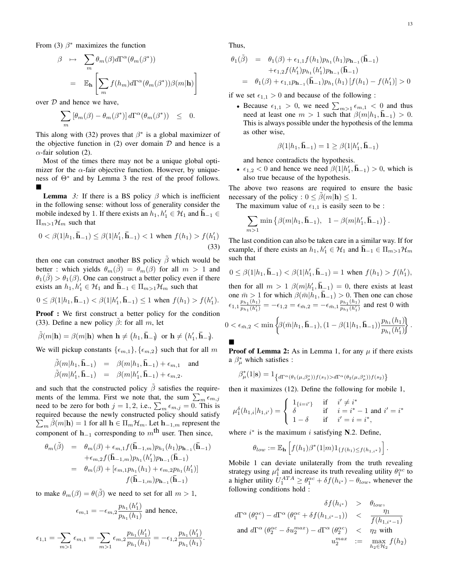From (3)  $\beta^*$  maximizes the function

$$
\beta \mapsto \sum_{m} \theta_{m}(\beta) d\Gamma^{\alpha}(\theta_{m}(\beta^{*}))
$$
  
=  $\mathbb{E}_{\mathbf{h}} \left[ \sum_{m} f(h_{m}) d\Gamma^{\alpha}(\theta_{m}(\beta^{*})) \beta(m|\mathbf{h}) \right]$ 

over  $D$  and hence we have,

$$
\sum_{m} \left[\theta_m(\beta) - \theta_m(\beta^*)\right] d\Gamma^{\alpha}(\theta_m(\beta^*)) \leq 0.
$$

This along with (32) proves that  $\beta^*$  is a global maximizer of the objective function in  $(2)$  over domain  $D$  and hence is a  $\alpha$ -fair solution (2).

Most of the times there may not be a unique global optimizer for the  $\alpha$ -fair objective function. However, by uniqueness of  $\Theta^*$  and by Lemma 3 the rest of the proof follows.  $\blacksquare$ 

**Lemma** 3: If there is a BS policy  $\beta$  which is inefficient in the following sense: without loss of generality consider the mobile indexed by 1. If there exists an  $h_1, h'_1 \in \mathcal{H}_1$  and  $\bar{\mathbf{h}}_{-1} \in$  $\Pi_{m>1}\mathcal{H}_m$  such that

$$
0 < \beta(1|h_1, \bar{\mathbf{h}}_{-1}) \le \beta(1|h'_1, \bar{\mathbf{h}}_{-1}) < 1 \text{ when } f(h_1) > f(h'_1) \tag{33}
$$

then one can construct another BS policy  $\hat{\beta}$  which would be better : which yields  $\theta_m(\hat{\beta}) = \theta_m(\hat{\beta})$  for all  $m > 1$  and  $\theta_1(\tilde{\beta}) > \theta_1(\beta)$ . One can construct a better policy even if there exists an  $h_1, h'_1 \in \mathcal{H}_1$  and  $\bar{\mathbf{h}}_{-1} \in \Pi_{m>1} \mathcal{H}_m$  such that

$$
0 \leq \beta(1|h_1, \bar{\mathbf{h}}_{-1}) < \beta(1|h'_1, \bar{\mathbf{h}}_{-1}) \leq 1 \text{ when } f(h_1) > f(h'_1).
$$

Proof : We first construct a better policy for the condition (33). Define a new policy  $\beta$ : for all m, let

$$
\tilde{\beta}(m|\mathbf{h}) = \beta(m|\mathbf{h}) \text{ when } \mathbf{h} \neq (h_1, \bar{\mathbf{h}}_{-1}) \text{ or } \mathbf{h} \neq (h'_1, \bar{\mathbf{h}}_{-1}).
$$

We will pickup constants  $\{\epsilon_{m,1}\}, \{\epsilon_{m,2}\}$  such that for all m

$$
\tilde{\beta}(m|h_1, \bar{\mathbf{h}}_{-1}) = \beta(m|h_1, \bar{\mathbf{h}}_{-1}) + \epsilon_{m,1} \text{ and} \n\tilde{\beta}(m|h'_1, \bar{\mathbf{h}}_{-1}) = \beta(m|h'_1, \bar{\mathbf{h}}_{-1}) + \epsilon_{m,2}.
$$

and such that the constructed policy  $\hat{\beta}$  satisfies the requirements of the lemma. First we note that, the sum  $\sum_{m} \epsilon_{m,j}$ need to be zero for both  $j = 1, 2$ , i.e.,  $\sum_{m} \epsilon_{m,j} = 0$ . This is required because the newly constructed policy should satisfy  $\sum_{m} \tilde{\beta}(m|\mathbf{h}) = 1$  for all  $\mathbf{h} \in \Pi_m \mathcal{H}_m$ . Let  $\mathbf{h}_{-1,m}$  represent the component of  $h_{-1}$  corresponding to m<sup>th</sup> user. Then since,

$$
\theta_m(\tilde{\beta}) = \theta_m(\beta) + \epsilon_{m,1} f(\bar{\mathbf{h}}_{-1,m}) p_{h_1}(h_1) p_{\mathbf{h}_{-1}}(\bar{\mathbf{h}}_{-1}) \n+ \epsilon_{m,2} f(\bar{\mathbf{h}}_{-1,m}) p_{h_1}(h'_1) p_{\mathbf{h}_{-1}}(\bar{\mathbf{h}}_{-1}) \n= \theta_m(\beta) + [\epsilon_{m,1} p_{h_1}(h_1) + \epsilon_{m,2} p_{h_1}(h'_1)] \nf(\bar{\mathbf{h}}_{-1,m}) p_{\mathbf{h}_{-1}}(\bar{\mathbf{h}}_{-1})
$$

to make  $\theta_m(\beta) = \theta(\tilde{\beta})$  we need to set for all  $m > 1$ ,

$$
\epsilon_{m,1}=-\epsilon_{m,2}\frac{p_{h_1}(h'_1)}{p_{h_1}(h_1)}\text{ and hence, }
$$

$$
\epsilon_{1,1} = -\sum_{m>1} \epsilon_{m,1} = -\sum_{m>1} \epsilon_{m,2} \frac{p_{h_1}(h_1')}{p_{h_1}(h_1)} = -\epsilon_{1,2} \frac{p_{h_1}(h_1')}{p_{h_1}(h_1)}.
$$

Thus,

$$
\theta_1(\tilde{\beta}) = \theta_1(\beta) + \epsilon_{1,1} f(h_1) p_{h_1}(h_1) p_{h_{-1}}(\bar{\mathbf{h}}_{-1})
$$
  
+  $\epsilon_{1,2} f(h'_1) p_{h_1}(h'_1) p_{h_{-1}}(\bar{\mathbf{h}}_{-1})$   
=  $\theta_1(\beta) + \epsilon_{1,1} p_{\mathbf{h}_{-1}}(\bar{\mathbf{h}}_{-1}) p_{h_1}(h_1) [f(h_1) - f(h'_1)] > 0$ 

if we set  $\epsilon_{1,1} > 0$  and because of the following :

• Because  $\epsilon_{1,1} > 0$ , we need  $\sum_{m>1} \epsilon_{m,1} < 0$  and thus need at least one  $m > 1$  such that  $\beta(m|h_1, \bar{h}_{-1}) > 0$ . This is always possible under the hypothesis of the lemma as other wise,

$$
\beta(1|h_1,\mathbf{\bar{h}}_{-1})=1\geq \beta(1|h_1',\mathbf{\bar{h}}_{-1})
$$

and hence contradicts the hypothesis.

•  $\epsilon_{1,2}$  < 0 and hence we need  $\beta(1|h'_1, \bar{\mathbf{h}}_{-1}) > 0$ , which is also true because of the hypothesis.

The above two reasons are required to ensure the basic necessary of the policy :  $0 \le \beta(m|\mathbf{h}) \le 1$ .

The maximum value of  $\epsilon_{1,1}$  is easily seen to be :

$$
\sum_{m>1} \min \left\{ \beta(m|h_1, \bar{\mathbf{h}}_{-1}), \ 1 - \beta(m|h'_1, \bar{\mathbf{h}}_{-1}) \right\}.
$$

The last condition can also be taken care in a similar way. If for example, if there exists an  $h_1, h'_1 \in \mathcal{H}_1$  and  $\overline{\mathbf{h}}_{-1} \in \Pi_{m>1}$   $\mathcal{H}_m$ such that

$$
0 \leq \beta(1|h_1, \bar{\mathbf{h}}_{-1}) < \beta(1|h'_1, \bar{\mathbf{h}}_{-1}) = 1 \text{ when } f(h_1) > f(h'_1),
$$

then for all  $m > 1$   $\beta(m|h'_1, \bar{h}_{-1}) = 0$ , there exists at least one  $\bar{m} > 1$  for which  $\beta(\bar{m}|\bar{h}_1, \bar{h}_{-1}) > 0$ . Then one can chose  $\epsilon_{1,1} \frac{p_{h_1}(h_1)}{p_{h_1}(h_1)}$  $\frac{p_{h_1}(h_1)}{p_{h_1}(h_1')} = -\epsilon_{1,2} = \epsilon_{\bar{m},2} = -\epsilon_{\bar{m},1} \frac{p_{h_1}(h_1)}{p_{h_1}(h_1')}$  $\frac{p_{h_1}(h'_1)}{p_{h_1}(h'_1)}$  and rest 0 with

$$
0 < \epsilon_{\bar{m},2} < \min \left\{ \beta(\bar{m}|h_1, \bar{\mathbf{h}}_{-1}), (1 - \beta(1|h_1, \bar{\mathbf{h}}_{-1})) \frac{p_{h_1}(h_1)}{p_{h_1}(h_1')} \right\}.
$$

**Proof of Lemma 2:** As in Lemma 1, for any  $\mu$  if there exists a  $\beta^*_{\mu}$  which satisfies :

$$
\beta^*_{\mu}(1|\mathbf{s}) = 1_{\left\{d\Gamma^{\alpha}(\theta_1(\mu,\beta^*_{\mu}))f(s_1) > d\Gamma^{\alpha}(\theta_2(\mu,\beta^*_{\mu}))f(s_2)\right\}}
$$

then it maximizes (12). Define the following for mobile 1,

$$
\mu_1^{\delta}(h_{1,i}|h_{1,i'}) = \begin{cases} 1_{\{i=i'\}} & \text{if } i' \neq i^* \\ \delta & \text{if } i = i^* - 1 \text{ and } i' = i^* \\ 1 - \delta & \text{if } i' = i = i^*, \end{cases}
$$

where  $i^*$  is the maximum i satisfying N.2. Define,

$$
\theta_{low} := \mathbb{E}_{\mathbf{h}}\left[f(h_1)\beta^*(1|m)1_{\{f(h_1)\leq f(h_{1,i^*})\}}\right].
$$

Mobile 1 can deviate unilaterally from the truth revealing strategy using  $\mu_1^{\delta}$  and increase its truth revealing utility  $\theta_1^{\alpha c}$  to a higher utility  $U_1^{ATA} \ge \theta_1^{\alpha c} + \delta f(h_{i^*}) - \theta_{low}$ , whenever the following conditions hold :

$$
\delta f(h_{i^*}) > \theta_{low},
$$
  
\n
$$
d\Gamma^{\alpha} (\theta_1^{\alpha c}) - d\Gamma^{\alpha} (\theta_1^{\alpha c} + \delta f(h_{1,i^* - 1})) < \frac{\eta_1}{f(h_{1,i^* - 1})}
$$
  
\nand 
$$
d\Gamma^{\alpha} (\theta_2^{\alpha c} - \delta u_2^{max}) - d\Gamma^{\alpha} (\theta_2^{\alpha c}) < \eta_2 \text{ with}
$$
  
\n
$$
u_2^{max} := \max_{h_2 \in \mathcal{H}_2} f(h_2)
$$